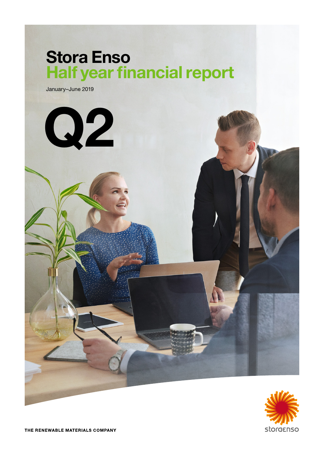# Stora Enso Half year financial report

January–June 2019





THE RENEWABLE MATERIALS COMPANY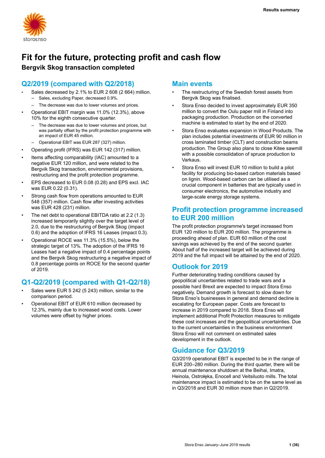

# **Fit for the future, protecting profit and cash flow Bergvik Skog transaction completed**

# **Q2/2019 (compared with Q2/2018)**

- Sales decreased by 2.1% to EUR 2 608 (2 664) million.
	- Sales, excluding Paper, decreased 0.9%.
	- The decrease was due to lower volumes and prices.
- Operational EBIT margin was 11.0% (12.3%), above 10% for the eighth consecutive quarter.
	- The decrease was due to lower volumes and prices, but was partially offset by the profit protection programme with an impact of EUR 45 million.
	- Operational EBIT was EUR 287 (327) million.
- Operating profit (IFRS) was EUR 142 (317) million.
- Items affecting comparability (IAC) amounted to a negative EUR 120 million, and were related to the Bergvik Skog transaction, environmental provisions, restructuring and the profit protection programme.
- EPS decreased to EUR 0.08 (0.28) and EPS excl. IAC was EUR 0.22 (0.31).
- Strong cash flow from operations amounted to EUR 548 (357) million. Cash flow after investing activities was EUR 428 (231) million.
- The net debt to operational EBITDA ratio at 2.2 (1.3) increased temporarily slightly over the target level of 2.0, due to the restructuring of Bergvik Skog (impact 0.6) and the adoption of IFRS 16 Leases (impact 0.3).
- Operational ROCE was 11.3% (15.5%), below the strategic target of 13%. The adoption of the IFRS 16 Leases had a negative impact of 0.4 percentage points and the Bergvik Skog restructuring a negative impact of 0.8 percentage points on ROCE for the second quarter of 2019.

# **Q1-Q2/2019 (compared with Q1-Q2/18)**

- Sales were EUR 5 242 (5 243) million, similar to the comparison period.
- Operational EBIT of EUR 610 million decreased by 12.3%, mainly due to increased wood costs. Lower volumes were offset by higher prices.

## **Main events**

- The restructuring of the Swedish forest assets from Bergvik Skog was finalised.
- Stora Enso decided to invest approximately EUR 350 million to convert the Oulu paper mill in Finland into packaging production. Production on the converted machine is estimated to start by the end of 2020.
- Stora Enso evaluates expansion in Wood Products. The plan includes potential investments of EUR 90 million in cross laminated timber (CLT) and construction beams production. The Group also plans to close Kitee sawmill with a possible consolidation of spruce production to Varkaus.
- Stora Enso will invest EUR 10 million to build a pilot facility for producing bio-based carbon materials based on lignin. Wood-based carbon can be utilised as a crucial component in batteries that are typically used in consumer electronics, the automotive industry and large-scale energy storage systems.

## **Profit protection programme increased to EUR 200 million**

The profit protection programme's target increased from EUR 120 million to EUR 200 million. The programme is proceeding ahead of plan. EUR 60 million of the cost savings was achieved by the end of the second quarter. About half of the increased target will be achieved during 2019 and the full impact will be attained by the end of 2020.

# **Outlook for 2019**

Further deteriorating trading conditions caused by geopolitical uncertainties related to trade wars and a possible hard Brexit are expected to impact Stora Enso negatively. Demand growth is forecast to slow down for Stora Enso's businesses in general and demand decline is escalating for European paper. Costs are forecast to increase in 2019 compared to 2018. Stora Enso will implement additional Profit Protection measures to mitigate these cost increases and the geopolitical uncertainties. Due to the current uncertainties in the business environment Stora Enso will not comment on estimated sales development in the outlook.

# **Guidance for Q3/2019**

Q3/2019 operational EBIT is expected to be in the range of EUR 200–280 million. During the third quarter, there will be annual maintenance shutdown at the Beihai, Imatra, Heinola, Ostrołęka, Enocell and Veitsiluoto mills. The total maintenance impact is estimated to be on the same level as in Q3/2018 and EUR 30 million more than in Q2/2019.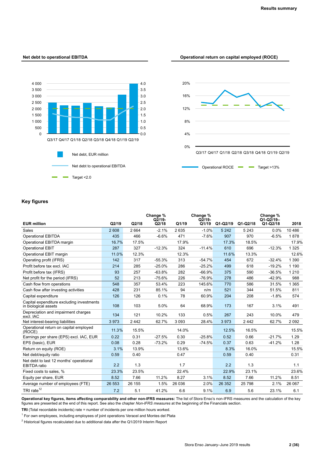### **Net debt to operational EBITDA Operational return on capital employed (ROCE)**





### **Key figures**

|                                                                   |        |        | Change %<br>$Q2/19-$ |        | Change %<br>$Q\bar{2}/19-$ |            |            | Change %<br>$Q1-Q2/19-$ |          |
|-------------------------------------------------------------------|--------|--------|----------------------|--------|----------------------------|------------|------------|-------------------------|----------|
| <b>EUR million</b>                                                | Q2/19  | Q2/18  | Q2/18                | Q1/19  | Q1/19                      | $Q1-Q2/19$ | $Q1-Q2/18$ | $Q1-Q2/18$              | 2018     |
| Sales                                                             | 2 608  | 2664   | $-2.1%$              | 2635   | $-1.0%$                    | 5 2 4 2    | 5 2 4 3    | 0.0%                    | 10 4 8 6 |
| <b>Operational EBITDA</b>                                         | 435    | 466    | $-6.6%$              | 471    | $-7.6%$                    | 907        | 970        | $-6.5%$                 | 1878     |
| Operational EBITDA margin                                         | 16.7%  | 17.5%  |                      | 17.9%  |                            | 17.3%      | 18.5%      |                         | 17.9%    |
| <b>Operational EBIT</b>                                           | 287    | 327    | $-12.3%$             | 324    | $-11.4%$                   | 610        | 696        | $-12.3%$                | 1 3 2 5  |
| Operational EBIT margin                                           | 11.0%  | 12.3%  |                      | 12.3%  |                            | 11.6%      | 13.3%      |                         | 12.6%    |
| Operating profit (IFRS)                                           | 142    | 317    | $-55.3%$             | 313    | $-54.7%$                   | 454        | 672        | $-32.4%$                | 1 3 9 0  |
| Profit before tax excl. IAC                                       | 214    | 285    | $-25.0%$             | 286    | $-25.2%$                   | 499        | 618        | $-19.2%$                | 1 1 9 0  |
| Profit before tax (IFRS)                                          | 93     | 257    | $-63.8%$             | 282    | $-66.9%$                   | 375        | 590        | $-36.5%$                | 1 2 1 0  |
| Net profit for the period (IFRS)                                  | 52     | 213    | $-75.6%$             | 226    | $-76.9%$                   | 278        | 486        | $-42.9%$                | 988      |
| Cash flow from operations                                         | 548    | 357    | 53.4%                | 223    | 145.6%                     | 770        | 586        | 31.5%                   | 1 3 6 5  |
| Cash flow after investing activities                              | 428    | 231    | 85.1%                | 94     | n/m                        | 521        | 344        | 51.5%                   | 811      |
| Capital expenditure                                               | 126    | 126    | 0.1%                 | 78     | 60.9%                      | 204        | 208        | $-1.8%$                 | 574      |
| Capital expenditure excluding investments<br>in biological assets | 108    | 103    | 5.0%                 | 64     | 68.9%                      | 173        | 167        | 3.1%                    | 491      |
| Depreciation and impairment charges<br>excl. IAC                  | 134    | 121    | 10.2%                | 133    | 0.5%                       | 267        | 243        | 10.0%                   | 479      |
| Net interest-bearing liabilities                                  | 3973   | 2442   | 62.7%                | 3093   | 28.4%                      | 3973       | 2442       | 62.7%                   | 2092     |
| Operational return on capital employed<br>(ROCE)                  | 11.3%  | 15.5%  |                      | 14.0%  |                            | 12.5%      | 16.5%      |                         | 15.5%    |
| Earnings per share (EPS) excl. IAC, EUR                           | 0.22   | 0.31   | $-27.5%$             | 0.30   | $-25.8%$                   | 0.52       | 0.66       | $-21.7%$                | 1.29     |
| EPS (basic), EUR                                                  | 0.08   | 0.28   | $-73.2%$             | 0.29   | $-74.5%$                   | 0.37       | 0.63       | $-41.2%$                | 1.28     |
| Return on equity (ROE)                                            | 3.1%   | 13.9%  |                      | 13.6%  |                            | 8.3%       | 16.0%      |                         | 15.5%    |
| Net debt/equity ratio                                             | 0.59   | 0.40   |                      | 0.47   |                            | 0.59       | 0.40       |                         | 0.31     |
| Net debt to last 12 months' operational<br><b>EBITDA</b> ratio    | 2.2    | 1.3    |                      | 1.7    |                            | 2.2        | 1.3        |                         | 1.1      |
| Fixed costs to sales, %                                           | 23.3%  | 23.5%  |                      | 22.4%  |                            | 22.9%      | 23.1%      |                         | 23.6%    |
| Equity per share, EUR                                             | 8.52   | 7.66   | 11.2%                | 8.27   | 3.1%                       | 8.52       | 7.66       | 11.2%                   | 8.51     |
| Average number of employees (FTE)                                 | 26 553 | 26 155 | 1.5%                 | 26 036 | 2.0%                       | 26 35 2    | 25 7 98    | 2.1%                    | 26 067   |
| TRI rate $12$                                                     | 7.2    | 5.1    | 41.2%                | 6.6    | 9.1%                       | 6.9        | 5.6        | 23.1%                   | 6.1      |

**Operational key figures, items affecting comparability and other non-IFRS measures:** The list of Stora Enso's non-IFRS measures and the calculation of the key figures are presented at the end of this report. See also the chapter *Non-IFRS measures* at the beginning of the Financials section.

**TRI** (Total recordable incidents) rate = number of incidents per one million hours worked.

<sup>1</sup> For own employees, including employees of joint operations Veracel and Montes del Plata

 $2$  Historical figures recalculated due to additional data after the Q1/2019 Interim Report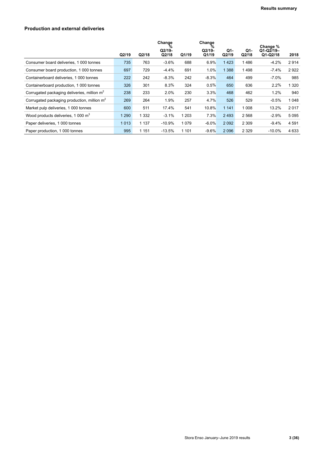### **Production and external deliveries**

|                                                         |         |         | Change<br>%<br>$Q2/19-$ |         | Change<br>%<br>$Q2/19-$ | Q1-     | Q1-     | Change %<br>$Q1-Q2/19-$ |         |
|---------------------------------------------------------|---------|---------|-------------------------|---------|-------------------------|---------|---------|-------------------------|---------|
|                                                         | Q2/19   | Q2/18   | Q2/18                   | Q1/19   | Q1/19                   | Q2/19   | Q2/18   | $Q1-Q2/18$              | 2018    |
| Consumer board deliveries, 1 000 tonnes                 | 735     | 763     | $-3.6%$                 | 688     | 6.9%                    | 1423    | 1486    | $-4.2%$                 | 2914    |
| Consumer board production, 1 000 tonnes                 | 697     | 729     | $-4.4%$                 | 691     | 1.0%                    | 1 3 8 8 | 1498    | $-7.4%$                 | 2922    |
| Containerboard deliveries, 1 000 tonnes                 | 222     | 242     | $-8.3%$                 | 242     | $-8.3%$                 | 464     | 499     | $-7.0%$                 | 985     |
| Containerboard production, 1 000 tonnes                 | 326     | 301     | 8.3%                    | 324     | 0.5%                    | 650     | 636     | 2.2%                    | 1 3 2 0 |
| Corrugated packaging deliveries, million m <sup>2</sup> | 238     | 233     | 2.0%                    | 230     | 3.3%                    | 468     | 462     | 1.2%                    | 940     |
| Corrugated packaging production, million $m2$           | 269     | 264     | 1.9%                    | 257     | 4.7%                    | 526     | 529     | $-0.5%$                 | 1048    |
| Market pulp deliveries, 1 000 tonnes                    | 600     | 511     | 17.4%                   | 541     | 10.8%                   | 1 1 4 1 | 1 0 0 8 | 13.2%                   | 2017    |
| Wood products deliveries, 1 000 m <sup>3</sup>          | 1 2 9 0 | 1 332   | $-3.1%$                 | 1 2 0 3 | 7.3%                    | 2493    | 2 5 6 8 | $-2.9%$                 | 5095    |
| Paper deliveries, 1 000 tonnes                          | 1 0 1 3 | 1 1 3 7 | $-10.9%$                | 1079    | $-6.0\%$                | 2 0 9 2 | 2 3 0 9 | $-9.4%$                 | 4 5 9 1 |
| Paper production, 1 000 tonnes                          | 995     | 1 1 5 1 | $-13.5%$                | 1 1 0 1 | $-9.6%$                 | 2096    | 2 3 2 9 | -10.0%                  | 4 6 3 3 |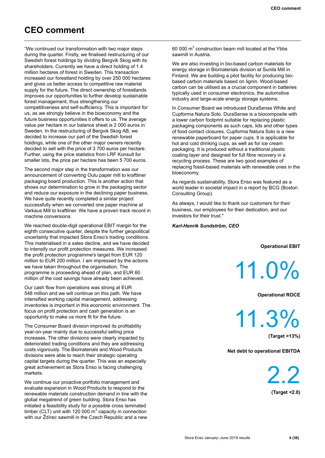# **CEO comment**

"We continued our transformation with two major steps during the quarter. Firstly, we finalised restructuring of our Swedish forest holdings by dividing Bergvik Skog with its shareholders. Currently we have a direct holding of 1.4 million hectares of forest in Sweden. This transaction increased our forestland holding by over 250 000 hectares and gives us better access to competitive raw material supply for the future. The direct ownership of forestlands improves our opportunities to further develop sustainable forest management, thus strengthening our competitiveness and self-sufficiency. This is important for us, as we strongly believe in the bioeconomy and the future business opportunities it offers to us. The average value per hectare in our balance sheet is 2 000 euros in Sweden. In the restructuring of Bergvik Skog AB, we decided to increase our part of the Swedish forest holdings, while one of the other major owners recently decided to sell with the price of 3 700 euros per hectare. Further, using the price statistics from LRF Konsult for smaller lots, the price per hectare has been 5 700 euros.

The second major step in the transformation was our announcement of converting Oulu paper mill to kraftliner packaging board production. This is another action that shows our determination to grow in the packaging sector and reduce our exposure in the declining paper business. We have quite recently completed a similar project successfully when we converted one paper machine at Varkaus Mill to kraftliner. We have a proven track record in machine conversions.

We reached double-digit operational EBIT margin for the eighth consecutive quarter, despite the further geopolitical uncertainty that impacted Stora Enso's trading conditions. This materialised in a sales decline, and we have decided to intensify our profit protection measures. We increased the profit protection programme's target from EUR 120 million to EUR 200 million. I am impressed by the actions we have taken throughout the organisation. The programme is proceeding ahead of plan, and EUR 60 million of the cost savings have already been achieved.

Our cash flow from operations was strong at EUR 548 million and we will continue on this path. We have intensified working capital management, addressing inventories is important in this economic environment. The focus on profit protection and cash generation is an opportunity to make us more fit for the future.

The Consumer Board division improved its profitability year-on-year mainly due to successful selling price increases. The other divisions were clearly impacted by deteriorated trading conditions and they are addressing costs vigorously. The Biomaterials and Wood Products divisions were able to reach their strategic operating capital targets during the quarter. This was an especially great achievement as Stora Enso is facing challenging markets.

We continue our proactive portfolio management and evaluate expansion in Wood Products to respond to the renewable materials construction demand in line with the global megatrend of green building. Stora Enso has initiated a feasibility study for a possible cross laminated timber (CLT) unit with 120 000  $m^3$  capacity in connection with our Ždírec sawmill in the Czech Republic and a new

60 000  $m<sup>3</sup>$  construction beam mill located at the Ybbs sawmill in Austria.

We are also investing in bio-based carbon materials for energy storage in Biomaterials division at Sunila Mill in Finland. We are building a pilot facility for producing biobased carbon materials based on lignin. Wood-based carbon can be utilised as a crucial component in batteries typically used in consumer electronics, the automotive industry and large-scale energy storage systems.

In Consumer Board we introduced DuraSense White and Cupforma Natura Solo. DuraSense is a biocomposite with a lower carbon footprint suitable for replacing plastic packaging components as such caps, lids and other types of food contact closures. Cupforma Natura Solo is a new renewable paperboard for paper cups. It is applicable for hot and cold drinking cups, as well as for ice cream packaging. It is produced without a traditional plastic coating layer and designed for full fibre recovery in a recycling process. These are two good examples of replacing fossil-based materials with renewable ones in the bioeconomy.

As regards sustainability, Stora Enso was featured as a world leader in societal impact in a report by BCG (Boston Consulting Group).

As always, I would like to thank our customers for their business, our employees for their dedication, and our investors for their trust."

### *Karl-Henrik Sundström, CEO*

**Operational EBIT**

11.0%

**Operational ROCE** 

11.3%

**(Target >13%)**

**Net debt to operational EBITDA**

2.2 **(Target <2.0)**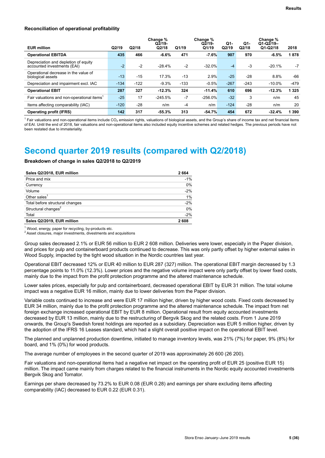#### **Reconciliation of operational profitability**

| <b>EUR million</b>                                                  | Q2/19  | Q2/18  | Change %<br>$Q2/19-$<br>Q2/18 | Q1/19  | Change %<br>$Q2/19-$<br>Q1/19 | Q1-<br>Q2/19 | Q1-<br>Q2/18 | Change %<br>$Q1-Q2/19-$<br>$Q1-Q2/18$ | 2018    |
|---------------------------------------------------------------------|--------|--------|-------------------------------|--------|-------------------------------|--------------|--------------|---------------------------------------|---------|
| <b>Operational EBITDA</b>                                           | 435    | 466    | $-6.6%$                       | 471    | $-7.6%$                       | 907          | 970          | $-6.5%$                               | 1878    |
| Depreciation and depletion of equity<br>accounted investments (EAI) | $-2$   | $-2$   | $-28.4%$                      | $-2$   | $-32.0%$                      | $-4$         | -3           | $-20.1%$                              | -7      |
| Operational decrease in the value of<br>biological assets           | $-13$  | $-15$  | 17.3%                         | $-13$  | 2.9%                          | $-25$        | $-28$        | 8.8%                                  | -66     |
| Depreciation and impairment excl. IAC                               | $-134$ | $-122$ | $-9.3%$                       | $-133$ | $-0.5%$                       | $-267$       | $-243$       | $-10.0\%$                             | $-479$  |
| <b>Operational EBIT</b>                                             | 287    | 327    | $-12.3%$                      | 324    | $-11.4%$                      | 610          | 696          | $-12.3%$                              | 1 3 2 5 |
| Fair valuations and non-operational items                           | $-25$  | 17     | $-245.5%$                     | $-7$   | $-256.0%$                     | $-32$        | 3            | n/m                                   | 45      |
| Items affecting comparability (IAC)                                 | $-120$ | $-28$  | n/m                           | $-4$   | n/m                           | $-124$       | $-28$        | n/m                                   | 20      |
| <b>Operating profit (IFRS)</b>                                      | 142    | 317    | $-55.3%$                      | 313    | $-54.7%$                      | 454          | 672          | $-32.4%$                              | 1 3 9 0 |

 $^1$  Fair valuations and non-operational items include CO<sub>2</sub> emission rights, valuations of biological assets, and the Group's share of income tax and net financial items of EAI. Until the end of 2018, fair valuations and non-operational items also included equity incentive schemes and related hedges. The previous periods have not been restated due to immateriality.

# **Second quarter 2019 results (compared with Q2/2018)**

### **Breakdown of change in sales Q2/2018 to Q2/2019**

| Sales Q2/2018, EUR million      | 2664  |
|---------------------------------|-------|
| Price and mix                   | $-1%$ |
| Currency                        | 0%    |
| Volume                          | $-2%$ |
| Other sales $1$                 | 1%    |
| Total before structural changes | $-2%$ |
| Structural changes <sup>2</sup> | 0%    |
| Total                           | $-2%$ |
| Sales Q2/2019, EUR million      | 2608  |

<sup>1</sup> Wood, energy, paper for recycling, by-products etc.

<sup>2</sup> Asset closures, major investments, divestments and acquisitions

Group sales decreased 2.1% or EUR 56 million to EUR 2 608 million. Deliveries were lower, especially in the Paper division, and prices for pulp and containerboard products continued to decrease. This was only partly offset by higher external sales in Wood Supply, impacted by the tight wood situation in the Nordic countries last year.

Operational EBIT decreased 12% or EUR 40 million to EUR 287 (327) million. The operational EBIT margin decreased by 1.3 percentage points to 11.0% (12.3%). Lower prices and the negative volume impact were only partly offset by lower fixed costs, mainly due to the impact from the profit protection programme and the altered maintenance schedule.

Lower sales prices, especially for pulp and containerboard, decreased operational EBIT by EUR 31 million. The total volume impact was a negative EUR 16 million, mainly due to lower deliveries from the Paper division.

Variable costs continued to increase and were EUR 17 million higher, driven by higher wood costs. Fixed costs decreased by EUR 34 million, mainly due to the profit protection programme and the altered maintenance schedule. The impact from net foreign exchange increased operational EBIT by EUR 8 million. Operational result from equity accounted investments decreased by EUR 13 million, mainly due to the restructuring of Bergvik Skog and the related costs. From 1 June 2019 onwards, the Group's Swedish forest holdings are reported as a subsidiary. Depreciation was EUR 5 million higher, driven by the adoption of the IFRS 16 Leases standard, which had a slight overall positive impact on the operational EBIT level.

The planned and unplanned production downtime, initiated to manage inventory levels, was 21% (7%) for paper, 9% (8%) for board, and 1% (0%) for wood products.

The average number of employees in the second quarter of 2019 was approximately 26 600 (26 200).

Fair valuations and non-operational items had a negative net impact on the operating profit of EUR 25 (positive EUR 15) million. The impact came mainly from charges related to the financial instruments in the Nordic equity accounted investments Bergvik Skog and Tornator.

Earnings per share decreased by 73.2% to EUR 0.08 (EUR 0.28) and earnings per share excluding items affecting comparability (IAC) decreased to EUR 0.22 (EUR 0.31).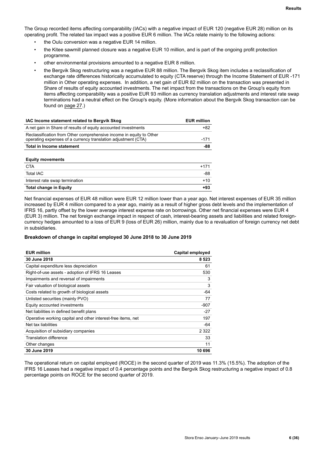The Group recorded items affecting comparability (IACs) with a negative impact of EUR 120 (negative EUR 28) million on its operating profit. The related tax impact was a positive EUR 6 million. The IACs relate mainly to the following actions:

- the Oulu conversion was a negative EUR 14 million.
- the Kitee sawmill planned closure was a negative EUR 10 million, and is part of the ongoing profit protection programme.
- other environmental provisions amounted to a negative EUR 8 million.
- the Bergvik Skog restructuring was a negative EUR 88 million. The Bergvik Skog item includes a reclassification of exchange rate differences historically accumulated to equity (CTA reserve) through the Income Statement of EUR -171 million in Other operating expenses. In addition, a net gain of EUR 82 million on the transaction was presented in Share of results of equity accounted investments. The net impact from the transactions on the Group's equity from items affecting comparability was a positive EUR 93 million as currency translation adjustments and interest rate swap terminations had a neutral effect on the Group's equity. (More information about the Bergvik Skog transaction can be found on [page 27](#page-27-0).)

| IAC Income statement related to Bergvik Skog                                                                                         | <b>EUR million</b> |
|--------------------------------------------------------------------------------------------------------------------------------------|--------------------|
| A net gain in Share of results of equity accounted investments                                                                       | $+82$              |
| Reclassification from Other comprehensive income in equity to Other<br>operating expenses of a currency translation adjustment (CTA) | $-171$             |
| <b>Total in Income statement</b>                                                                                                     | -88                |
| <b>Equity movements</b>                                                                                                              |                    |
| <b>CTA</b>                                                                                                                           | $+171$             |
| <b>Total IAC</b>                                                                                                                     | -88                |
| Interest rate swap termination                                                                                                       | $+10$              |
| <b>Total change in Equity</b>                                                                                                        | $+93$              |
|                                                                                                                                      |                    |

Net financial expenses of EUR 48 million were EUR 12 million lower than a year ago. Net interest expenses of EUR 35 million increased by EUR 4 million compared to a year ago, mainly as a result of higher gross debt levels and the implementation of IFRS 16, partly offset by the lower average interest expense rate on borrowings. Other net financial expenses were EUR 4 (EUR 3) million. The net foreign exchange impact in respect of cash, interest-bearing assets and liabilities and related foreigncurrency hedges amounted to a loss of EUR 9 (loss of EUR 26) million, mainly due to a revaluation of foreign currency net debt in subsidiaries.

### **Breakdown of change in capital employed 30 June 2018 to 30 June 2019**

| <b>EUR million</b>                                           | <b>Capital employed</b> |
|--------------------------------------------------------------|-------------------------|
| 30 June 2018                                                 | 8 5 2 3                 |
| Capital expenditure less depreciation                        | 61                      |
| Right-of-use assets - adoption of IFRS 16 Leases             | 530                     |
| Impairments and reversal of impairments                      | 3                       |
| Fair valuation of biological assets                          | 3                       |
| Costs related to growth of biological assets                 | -64                     |
| Unlisted securities (mainly PVO)                             | 77                      |
| Equity accounted investments                                 | $-907$                  |
| Net liabilities in defined benefit plans                     | $-27$                   |
| Operative working capital and other interest-free items, net | 197                     |
| Net tax liabilities                                          | -64                     |
| Acquisition of subsidiary companies                          | 2 3 2 2                 |
| Translation difference                                       | 33                      |
| Other changes                                                | 11                      |
| 30 June 2019                                                 | 10 696                  |

The operational return on capital employed (ROCE) in the second quarter of 2019 was 11.3% (15.5%). The adoption of the IFRS 16 Leases had a negative impact of 0.4 percentage points and the Bergvik Skog restructuring a negative impact of 0.8 percentage points on ROCE for the second quarter of 2019.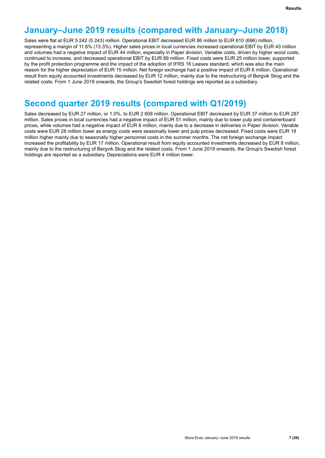# **January–June 2019 results (compared with January–June 2018)**

Sales were flat at EUR 5 242 (5 243) million. Operational EBIT decreased EUR 86 million to EUR 610 (696) million, representing a margin of 11.6% (13.3%). Higher sales prices in local currencies increased operational EBIT by EUR 43 million and volumes had a negative impact of EUR 44 million, especially in Paper division. Variable costs, driven by higher wood costs, continued to increase, and decreased operational EBIT by EUR 89 million. Fixed costs were EUR 25 million lower, supported by the profit protection programme and the impact of the adoption of IFRS 16 Leases standard, which was also the main reason for the higher depreciation of EUR 15 million. Net foreign exchange had a positive impact of EUR 6 million. Operational result from equity accounted investments decreased by EUR 12 million, mainly due to the restructuring of Bergvik Skog and the related costs. From 1 June 2019 onwards, the Group's Swedish forest holdings are reported as a subsidiary.

# **Second quarter 2019 results (compared with Q1/2019)**

Sales decreased by EUR 27 million, or 1.0%, to EUR 2 608 million. Operational EBIT decreased by EUR 37 million to EUR 287 million. Sales prices in local currencies had a negative impact of EUR 51 million, mainly due to lower pulp and containerboard prices, while volumes had a negative impact of EUR 8 million, mainly due to a decrease in deliveries in Paper division. Variable costs were EUR 28 million lower as energy costs were seasonally lower and pulp prices decreased. Fixed costs were EUR 18 million higher mainly due to seasonally higher personnel costs in the summer months. The net foreign exchange impact increased the profitability by EUR 17 million. Operational result from equity accounted investments decreased by EUR 8 million, mainly due to the restructuring of Bergvik Skog and the related costs. From 1 June 2019 onwards, the Group's Swedish forest holdings are reported as a subsidiary. Depreciations were EUR 4 million lower.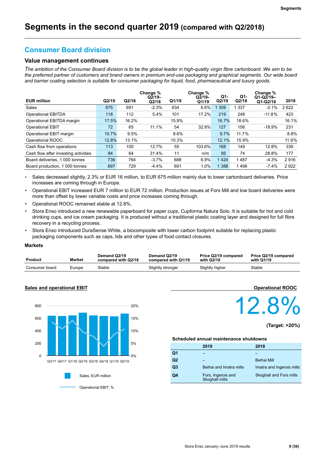# **Consumer Board division**

### **Value management continues**

*The ambition of the Consumer Board division is to be the global leader in high-quality virgin fibre cartonboard. We aim to be the preferred partner of customers and brand owners in premium end-use packaging and graphical segments. Our wide board and barrier coating selection is suitable for consumer packaging for liquid, food, pharmaceutical and luxury goods.*

| <b>EUR million</b>                   | Q2/19 | Q2/18 | Change %<br>Q <sub>2/19</sub><br>Q2/18 | Q1/19 | Change %<br>$Q2/19-$<br>Q1/19 | Q1-<br>Q2/19 | Q1-<br>Q2/18 | Change %<br>$Q1-Q2/19-$<br>$Q1-Q2/18$ | 2018  |
|--------------------------------------|-------|-------|----------------------------------------|-------|-------------------------------|--------------|--------------|---------------------------------------|-------|
| Sales                                | 675   | 691   | $-2.3%$                                | 634   | 6.6%                          | 309          | 337          | $-2.1%$                               | 2622  |
| <b>Operational EBITDA</b>            | 118   | 112   | 5.4%                                   | 101   | 17.2%                         | 219          | 248          | $-11.8%$                              | 423   |
| Operational EBITDA margin            | 17.5% | 16.2% |                                        | 15.9% |                               | 16.7%        | 18.6%        |                                       | 16.1% |
| <b>Operational EBIT</b>              | 72    | 65    | 11.1%                                  | 54    | 32.8%                         | 127          | 156          | $-18.9%$                              | 231   |
| Operational EBIT margin              | 10.7% | 9.5%  |                                        | 8.6%  |                               | 9.7%         | 11.7%        |                                       | 8.8%  |
| Operational ROOC                     | 12.8% | 13.1% |                                        | 10.3% |                               | 12.1%        | 15.9%        |                                       | 11.9% |
| Cash flow from operations            | 113   | 100   | 12.7%                                  | 55    | 103.6%                        | 168          | 149          | 12.8%                                 | 339   |
| Cash flow after investing activities | 84    | 64    | 31.4%                                  | 11    | n/m                           | 95           | 74           | 28.8%                                 | 177   |
| Board deliveries, 1 000 tonnes       | 736   | 764   | $-3.7%$                                | 688   | 6.9%                          | 1424         | 1487         | $-4.3%$                               | 2916  |
| Board production, 1 000 tonnes       | 697   | 729   | $-4.4%$                                | 691   | 1.0%                          | 1388         | 1498         | $-7.4%$                               | 2922  |

• Sales decreased slightly, 2.3% or EUR 16 million, to EUR 675 million mainly due to lower cartonboard deliveries. Price increases are coming through in Europe.

- Operational EBIT increased EUR 7 million to EUR 72 million. Production issues at Fors Mill and low board deliveries were more than offset by lower variable costs and price increases coming through.
- Operational ROOC remained stable at 12.8%.
- Stora Enso introduced a new renewable paperboard for paper cups, Cupforma Natura Solo. It is suitable for hot and cold drinking cups, and ice cream packaging. It is produced without a traditional plastic coating layer and designed for full fibre recovery in a recycling process.
- Stora Enso introduced DuraSense White, a biocomposite with lower carbon footprint suitable for replacing plastic packaging components such as caps, lids and other types of food contact closures.

### **Markets**

| Product        | <b>Market</b> | Demand Q2/19<br>compared with Q2/18 | Demand Q2/19<br>compared with Q1/19 | Price Q2/19 compared<br>with Q2/18 | Price Q2/19 compared<br>with Q1/19 |
|----------------|---------------|-------------------------------------|-------------------------------------|------------------------------------|------------------------------------|
| Consumer board | Europe        | Stable                              | Slightly stronger                   | Slightly higher                    | Stable                             |



### **Sales and operational EBIT**

 **Operational ROOC** 12.8%

**(Target: >20%)**

#### **Scheduled annual maintenance shutdowns**

|                | 2019                                 | 2018                      |
|----------------|--------------------------------------|---------------------------|
| Q <sub>1</sub> |                                      |                           |
| Q2             |                                      | Beihai Mill               |
| Q <sub>3</sub> | Beihai and Imatra mills              | Imatra and Ingerois mills |
| Q4             | Fors, Ingerois and<br>Skoghall mills | Skoghall and Fors mills   |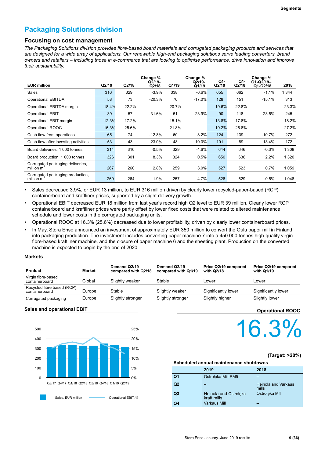# **Packaging Solutions division**

### **Focusing on cost management**

*The Packaging Solutions division provides fibre-based board materials and corrugated packaging products and services that are designed for a wide array of applications. Our renewable high-end packaging solutions serve leading converters, brand owners and retailers – including those in e-commerce that are looking to optimise performance, drive innovation and improve their sustainability.*

| <b>EUR million</b>                               | Q2/19 | Q2/18 | Change %<br>$Q2/19-$<br>Q2/18 | Q1/19 | Change %<br>$Q2/19-$<br>Q1/19 | Q1-<br>Q2/19 | Q1-<br>Q2/18 | Change %<br>$Q1-Q2/19-$<br>$Q1-Q2/18$ | 2018    |
|--------------------------------------------------|-------|-------|-------------------------------|-------|-------------------------------|--------------|--------------|---------------------------------------|---------|
| Sales                                            | 316   | 329   | $-3.9%$                       | 338   | $-6.6%$                       | 655          | 662          | $-1.1%$                               | 1 3 4 4 |
| <b>Operational EBITDA</b>                        | 58    | 73    | $-20.3%$                      | 70    | $-17.0%$                      | 128          | 151          | $-15.1%$                              | 313     |
| Operational EBITDA margin                        | 18.4% | 22.2% |                               | 20.7% |                               | 19.6%        | 22.8%        |                                       | 23.3%   |
| <b>Operational EBIT</b>                          | 39    | 57    | $-31.6%$                      | 51    | $-23.9%$                      | 90           | 118          | $-23.5%$                              | 245     |
| Operational EBIT margin                          | 12.3% | 17.2% |                               | 15.1% |                               | 13.8%        | 17.8%        |                                       | 18.2%   |
| Operational ROOC                                 | 16.3% | 25.6% |                               | 21.8% |                               | 19.2%        | 26.8%        |                                       | 27.2%   |
| Cash flow from operations                        | 65    | 74    | $-12.8%$                      | 60    | 8.2%                          | 124          | 139          | $-10.7%$                              | 272     |
| Cash flow after investing activities             | 53    | 43    | 23.0%                         | 48    | 10.0%                         | 101          | 89           | 13.4%                                 | 172     |
| Board deliveries, 1 000 tonnes                   | 314   | 316   | $-0.5%$                       | 329   | $-4.6%$                       | 644          | 646          | $-0.3%$                               | 1 3 0 8 |
| Board production, 1 000 tonnes                   | 326   | 301   | 8.3%                          | 324   | 0.5%                          | 650          | 636          | 2.2%                                  | 1 3 2 0 |
| Corrugated packaging deliveries,<br>million $m2$ | 267   | 260   | 2.8%                          | 259   | 3.0%                          | 527          | 523          | 0.7%                                  | 1 0 5 9 |
| Corrugated packaging production,<br>million $m2$ | 269   | 264   | 1.9%                          | 257   | 4.7%                          | 526          | 529          | $-0.5%$                               | 1048    |

• Sales decreased 3.9%, or EUR 13 million, to EUR 316 million driven by clearly lower recycled-paper-based (RCP) containerboard and kraftliner prices, supported by a slight delivery growth.

- Operational EBIT decreased EUR 18 million from last year's record high Q2 level to EUR 39 million. Clearly lower RCP containerboard and kraftliner prices were partly offset by lower fixed costs that were related to altered maintenance schedule and lower costs in the corrugated packaging units.
- Operational ROOC at 16.3% (25.6%) decreased due to lower profitability, driven by clearly lower containerboard prices.

• In May, Stora Enso announced an investment of approximately EUR 350 million to convert the Oulu paper mill in Finland into packaging production. The investment includes converting paper machine 7 into a 450 000 tonnes high-quality virginfibre-based kraftliner machine, and the closure of paper machine 6 and the sheeting plant. Production on the converted machine is expected to begin by the end of 2020.

### **Markets**

| <b>Product</b>                               | <b>Market</b> | Demand Q2/19<br>compared with Q2/18 | Demand Q2/19<br>compared with Q1/19 | Price Q2/19 compared<br>with Q2/18 | Price Q2/19 compared<br>with Q1/19 |
|----------------------------------------------|---------------|-------------------------------------|-------------------------------------|------------------------------------|------------------------------------|
| Virgin fibre-based<br>containerboard         | Global        | Slightly weaker                     | Stable                              | Lower                              | Lower                              |
| Recycled fibre based (RCP)<br>containerboard | Europe        | Stable                              | Slightly weaker                     | Significantly lower                | Significantly lower                |
| Corrugated packaging                         | Europe        | Slightly stronger                   | Slightly stronger                   | Slightly higher                    | Slightly lower                     |

### **Sales and operational EBIT**



### **Operational ROOC**

# 16.3%

### **(Target: >20%)**

### **Scheduled annual maintenance shutdowns**

|                | 2019                                 | 2018                         |
|----------------|--------------------------------------|------------------------------|
| Q <sub>1</sub> | Ostrołeka Mill PM5                   |                              |
| Q2             |                                      | Heinola and Varkaus<br>mills |
| Q <sub>3</sub> | Heinola and Ostrołęka<br>kraft mills | Ostrołeka Mill               |
| Q4             | Varkaus Mill                         |                              |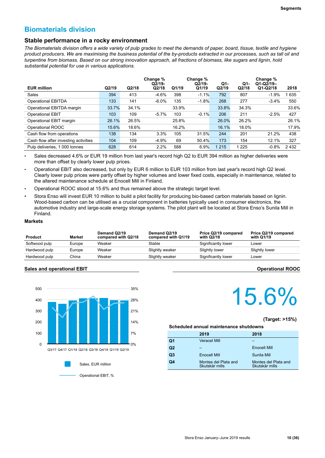# **Biomaterials division**

### **Stable performance in a rocky environment**

*The Biomaterials division offers a wide variety of pulp grades to meet the demands of paper, board, tissue, textile and hygiene product producers. We are maximising the business potential of the by-products extracted in our processes, such as tall oil and turpentine from biomass. Based on our strong innovation approach, all fractions of biomass, like sugars and lignin, hold substantial potential for use in various applications.* 

|                                      |       |       | Change %<br>$Q2/19-$ |       | Change %<br>$Q\bar{2}/19-$ | Q1-     | Q1-     | Change %<br>$Q1-Q2/19-$ |       |
|--------------------------------------|-------|-------|----------------------|-------|----------------------------|---------|---------|-------------------------|-------|
| <b>EUR million</b>                   | Q2/19 | Q2/18 | Q2/18                | Q1/19 | Q1/19                      | Q2/19   | Q2/18   | $Q1-Q2/18$              | 2018  |
| Sales                                | 394   | 413   | $-4.6\%$             | 398   | $-1.1%$                    | 792     | 807     | $-1.9%$                 | 635   |
| <b>Operational EBITDA</b>            | 133   | 141   | $-6.0\%$             | 135   | $-1.8%$                    | 268     | 277     | $-3.4%$                 | 550   |
| Operational EBITDA margin            | 33.7% | 34.1% |                      | 33.9% |                            | 33.8%   | 34.3%   |                         | 33.6% |
| <b>Operational EBIT</b>              | 103   | 109   | $-5.7%$              | 103   | $-0.1%$                    | 206     | 211     | $-2.5%$                 | 427   |
| Operational EBIT margin              | 26.1% | 26.5% |                      | 25.8% |                            | 26.0%   | 26.2%   |                         | 26.1% |
| Operational ROOC                     | 15.6% | 18.6% |                      | 16.2% |                            | 16.1%   | 18.0%   |                         | 17.9% |
| Cash flow from operations            | 138   | 134   | 3.3%                 | 105   | 31.5%                      | 244     | 201     | 21.2%                   | 438   |
| Cash flow after investing activities | 104   | 109   | $-4.9\%$             | 69    | 50.4%                      | 173     | 154     | 12.1%                   | 327   |
| Pulp deliveries, 1 000 tonnes        | 628   | 614   | 2.2%                 | 588   | 6.9%                       | 1 2 1 5 | 1 2 2 5 | $-0.8%$                 | 2432  |

• Sales decreased 4.6% or EUR 19 million from last year's record high Q2 to EUR 394 million as higher deliveries were more than offset by clearly lower pulp prices.

• Operational EBIT also decreased, but only by EUR 6 million to EUR 103 million from last year's record high Q2 level. Clearly lower pulp prices were partly offset by higher volumes and lower fixed costs, especially in maintenance, related to the altered maintenance schedule at Enocell Mill in Finland.

- Operational ROOC stood at 15.6% and thus remained above the strategic target level.
- Stora Enso will invest EUR 10 million to build a pilot facility for producing bio-based carbon materials based on lignin. Wood-based carbon can be utilised as a crucial component in batteries typically used in consumer electronics, the automotive industry and large-scale energy storage systems. The pilot plant will be located at Stora Enso's Sunila Mill in Finland.

### **Markets**

| Product       | <b>Market</b> | Demand Q2/19<br>compared with Q2/18 | Demand Q2/19<br>compared with Q1/19 | Price Q2/19 compared<br>with Q2/18 | Price Q2/19 compared<br>with Q1/19 |
|---------------|---------------|-------------------------------------|-------------------------------------|------------------------------------|------------------------------------|
| Softwood pulp | Europe        | Weaker                              | Stable                              | Significantly lower                | Lower                              |
| Hardwood pulp | Europe        | Weaker                              | Slightly weaker                     | Slightly lower                     | Slightly lower                     |
| Hardwood pulp | China         | Weaker                              | Slightly weaker                     | Significantly lower                | Lower                              |

### **Sales and operational EBIT Operational ROOC**



# 15.6%

### **(Target: >15%)**

#### **Scheduled annual maintenance shutdowns**

|                | 2019                                   | 2018                                   |
|----------------|----------------------------------------|----------------------------------------|
| Q <sub>1</sub> | <b>Veracel Mill</b>                    |                                        |
| Q <sub>2</sub> |                                        | <b>Enocell Mill</b>                    |
| Q <sub>3</sub> | Enocell Mill                           | Sunila Mill                            |
| Q4             | Montes del Plata and<br>Skutskär mills | Montes del Plata and<br>Skutskär mills |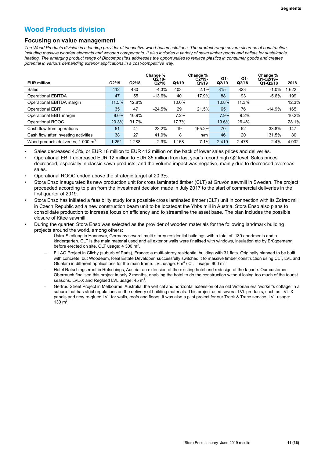# **Wood Products division**

### **Focusing on value management**

*The Wood Products division is a leading provider of innovative wood-based solutions. The product range covers all areas of construction, including massive wooden elements and wooden components. It also includes a variety of sawn timber goods and pellets for sustainable heating. The emerging product range of Biocomposites addresses the opportunities to replace plastics in consumer goods and creates potential in various demanding exterior applications in a cost-competitive way.*

| <b>EUR million</b>                             | Q2/19   | Q2/18   | Change %<br>$Q2/19-$<br>Q2/18 | Q1/19 | Change %<br>$Q2/19-$<br>Q1/19 | Q1-<br>Q2/19 | Q1-<br>Q2/18 | Change %<br>$Q1-Q2/19-$<br>$Q1-Q2/18$ | 2018    |
|------------------------------------------------|---------|---------|-------------------------------|-------|-------------------------------|--------------|--------------|---------------------------------------|---------|
| <b>Sales</b>                                   | 412     | 430     | $-4.3%$                       | 403   | 2.1%                          | 815          | 823          | $-1.0%$                               | 622     |
| <b>Operational EBITDA</b>                      | 47      | 55      | $-13.6%$                      | 40    | 17.9%                         | 88           | 93           | $-5.6%$                               | 199     |
| Operational EBITDA margin                      | 11.5%   | 12.8%   |                               | 10.0% |                               | 10.8%        | 11.3%        |                                       | 12.3%   |
| <b>Operational EBIT</b>                        | 35      | 47      | $-24.5%$                      | 29    | 21.5%                         | 65           | 76           | $-14.9%$                              | 165     |
| Operational EBIT margin                        | 8.6%    | 10.9%   |                               | 7.2%  |                               | 7.9%         | 9.2%         |                                       | 10.2%   |
| Operational ROOC                               | 20.3%   | 31.7%   |                               | 17.7% |                               | 19.6%        | 26.4%        |                                       | 28.1%   |
| Cash flow from operations                      | 51      | 41      | 23.2%                         | 19    | 165.2%                        | 70           | 52           | 33.8%                                 | 147     |
| Cash flow after investing activities           | 38      | 27      | 41.9%                         | 8     | n/m                           | 46           | 20           | 131.5%                                | 80      |
| Wood products deliveries, 1 000 m <sup>3</sup> | 1 2 5 1 | 1 2 8 8 | $-2.9%$                       | 168   | 7.1%                          | 2419         | 2478         | $-2.4%$                               | 4 9 3 2 |

*•* Sales decreased 4.3%, or EUR 18 million to EUR 412 million on the back of lower sales prices and deliveries.

- Operational EBIT decreased EUR 12 million to EUR 35 million from last year's record high Q2 level. Sales prices decreased, especially in classic sawn products, and the volume impact was negative, mainly due to decreased overseas sales.
- Operational ROOC ended above the strategic target at 20.3%.
- Stora Enso inaugurated its new production unit for cross laminated timber (CLT) at Gruvön sawmill in Sweden. The project proceeded according to plan from the investment decision made in July 2017 to the start of commercial deliveries in the first quarter of 2019.
- Stora Enso has initiated a feasibility study for a possible cross laminated timber (CLT) unit in connection with its Ždírec mill in Czech Republic and a new construction beam unit to be locatedat the Ybbs mill in Austria. Stora Enso also plans to consolidate production to increase focus on efficiency and to streamline the asset base. The plan includes the possible closure of Kitee sawmill.
- During the quarter, Stora Enso was selected as the provider of wooden materials for the following landmark building projects around the world, among others:
	- Üstra-Siedlung in Hannover, Germany:several multi-storey residential buildings with a total of 139 apartments and a kindergarten. CLT is the main material used and all exterior walls were finalised with windows, insulation etc by Brüggemann before erected on site. CLT usage: 4 300  $m^3$ .
	- FILAO Project in Clichy (suburb of Paris), France: a multi-storey residential building with 31 flats. Originally planned to be built with concrete, but Woodeum, Real Estate Developer, successfully switched it to massive timber construction using CLT, LVL and Gluelam in different applications for the main frame. LVL usage:  $6m^3$  / CLT usage: 600 m<sup>3</sup>.
	- Hotel Ratschingserhof in Ratschings, Austria: an extension of the existing hotel and redesign of the façade. Our customer Oberrauch finalised this project in only 2 months, enabling the hotel to do the construction without losing too much of the tourist seasons. LVL-X and Reglued LVL usage: 45  $m^3$ .
	- Gertrud Street Project in Melbourne, Australia: the vertical and horizontal extension of an old Victorian era 'worker's cottage' in a suburb that has strict regulations on the delivery of building materials. This project used several LVL products, such as LVL-X panels and new re-glued LVL for walls, roofs and floors. It was also a pilot project for our Track & Trace service. LVL usage: 130 $\, \text{m}^3$ .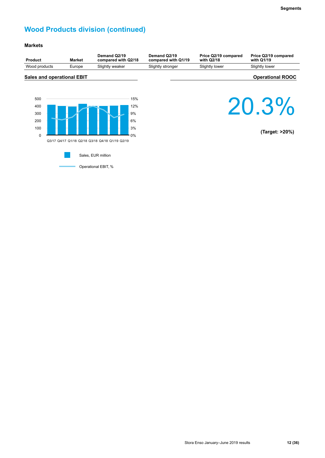# **Wood Products division (continued)**

### **Markets**

| <b>Product</b>                                 | Market | Demand Q2/19<br>compared with Q2/18                                                   | Demand Q2/19<br>compared with Q1/19 | Price Q2/19 compared<br>with Q2/18 | Price Q2/19 compared<br>with Q1/19 |
|------------------------------------------------|--------|---------------------------------------------------------------------------------------|-------------------------------------|------------------------------------|------------------------------------|
| Wood products                                  | Europe | Slightly weaker                                                                       | Slightly stronger                   | Slightly lower                     | Slightly lower                     |
| <b>Sales and operational EBIT</b>              |        |                                                                                       |                                     |                                    | <b>Operational ROOC</b>            |
| 500<br>400<br>300<br>200<br>100<br>$\mathbf 0$ |        | 15%<br>12%<br>9%<br>6%<br>3%<br>0%<br>Q3/17 Q4/17 Q1/18 Q2/18 Q3/18 Q4/18 Q1/19 Q2/19 |                                     |                                    | 20.3%<br>(Target: >20%)            |
|                                                |        | Sales, EUR million                                                                    |                                     |                                    |                                    |
|                                                |        | Operational EBIT, %                                                                   |                                     |                                    |                                    |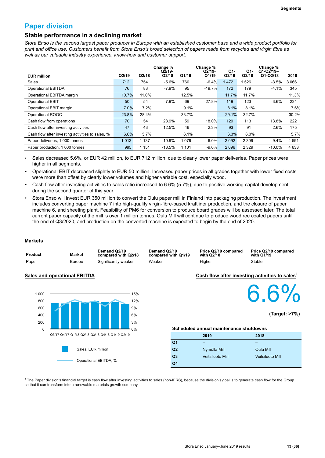## **Paper division**

### **Stable performance in a declining market**

*Stora Enso is the second largest paper producer in Europe with an established customer base and a wide product portfolio for print and office use. Customers benefit from Stora Enso's broad selection of papers made from recycled and virgin fibre as well as our valuable industry experience, know-how and customer support.*

|                                                  |       |         | Change %<br>$Q2/19-$ |         | Change %<br>$Q2/19-$ | Q1-   | Q1-     | Change %<br>$Q1-Q2/19-$ |         |
|--------------------------------------------------|-------|---------|----------------------|---------|----------------------|-------|---------|-------------------------|---------|
| <b>EUR million</b>                               | Q2/19 | Q2/18   | Q2/18                | Q1/19   | Q1/19                | Q2/19 | Q2/18   | $Q1-Q2/18$              | 2018    |
| Sales                                            | 712   | 754     | $-5.6%$              | 760     | $-6.4%$              | 1472  | 1526    | $-3.5%$                 | 3 0 6 6 |
| <b>Operational EBITDA</b>                        | 76    | 83      | $-7.9%$              | 95      | $-19.7%$             | 172   | 179     | $-4.1%$                 | 345     |
| Operational EBITDA margin                        | 10.7% | 11.0%   |                      | 12.5%   |                      | 11.7% | 11.7%   |                         | 11.3%   |
| <b>Operational EBIT</b>                          | 50    | 54      | $-7.9%$              | 69      | $-27.8%$             | 119   | 123     | $-3.6%$                 | 234     |
| Operational EBIT margin                          | 7.0%  | 7.2%    |                      | 9.1%    |                      | 8.1%  | 8.1%    |                         | 7.6%    |
| Operational ROOC                                 | 23.8% | 28.4%   |                      | 33.7%   |                      | 29.1% | 32.7%   |                         | 30.2%   |
| Cash flow from operations                        | 70    | 54      | 28.9%                | 59      | 18.0%                | 129   | 113     | 13.8%                   | 222     |
| Cash flow after investing activities             | 47    | 43      | 12.5%                | 46      | 2.3%                 | 93    | 91      | 2.6%                    | 175     |
| Cash flow after investing activities to sales, % | 6.6%  | 5.7%    |                      | 6.1%    |                      | 6.3%  | 6.0%    |                         | 5.7%    |
| Paper deliveries, 1 000 tonnes                   | 1013  | 1 1 3 7 | $-10.9%$             | 1079    | $-6.0%$              | 2092  | 2 3 0 9 | $-9.4%$                 | 4 5 9 1 |
| Paper production, 1 000 tonnes                   | 995   | 1 1 5 1 | $-13.5%$             | 1 1 0 1 | $-9.6%$              | 2096  | 2 3 2 9 | $-10.0\%$               | 4 6 3 3 |

• Sales decreased 5.6%, or EUR 42 million, to EUR 712 million, due to clearly lower paper deliveries. Paper prices were higher in all segments.

• Operational EBIT decreased slightly to EUR 50 million. Increased paper prices in all grades together with lower fixed costs were more than offset by clearly lower volumes and higher variable cost, especially wood.

- Cash flow after investing activities to sales ratio increased to 6.6% (5.7%), due to positive working capital development during the second quarter of this year.
- Stora Enso will invest EUR 350 million to convert the Oulu paper mill in Finland into packaging production. The investment includes converting paper machine 7 into high-quality virgin-fibre-based kraftliner production, and the closure of paper machine 6, and sheeting plant. Feasibility of PM6 for conversion to produce board grades will be assessed later. The total current paper capacity of the mill is over 1 million tonnes. Oulu Mill will continue to produce woodfree coated papers until the end of Q3/2020, and production on the converted machine is expected to begin by the end of 2020.

### **Markets**

| Product | Market | Demand Q2/19<br>compared with Q2/18 | Demand Q2/19<br>compared with Q1/19 | Price Q2/19 compared<br>with Q2/18 | Price Q2/19 compared<br>with Q1/19 |
|---------|--------|-------------------------------------|-------------------------------------|------------------------------------|------------------------------------|
| Paper   | Europe | Significantly weaker                | Weaker                              | Higher                             | Stable                             |

### **Sales and operational EBITDA**



**Cash flow after investing activities to sales<sup>1</sup>**



**(Target: >7%)**

#### **Scheduled annual maintenance shutdowns**

|                | 2019                    | 2018                    |
|----------------|-------------------------|-------------------------|
| Q <sub>1</sub> |                         |                         |
| Q2             | Nymölla Mill            | <b>Oulu Mill</b>        |
| Q <sub>3</sub> | <b>Veitsiluoto Mill</b> | <b>Veitsiluoto Mill</b> |
| Q4             |                         |                         |

<sup>1</sup> The Paper division's financial target is cash flow after investing activities to sales (non-IFRS), because the division's goal is to generate cash flow for the Group so that it can transform into a renewable materials growth company.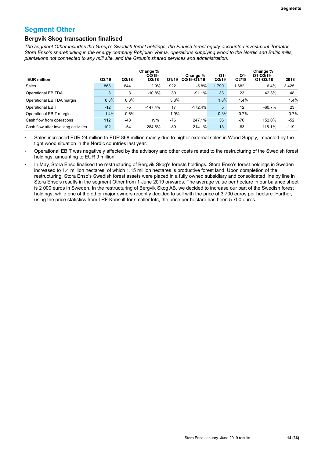### **Segment Other**

### **Bergvik Skog transaction finalised**

*The segment Other includes the Group's Swedish forest holdings, the Finnish forest equity-accounted investment Tornator, Stora Enso's shareholding in the energy company Pohjolan Voima, operations supplying wood to the Nordic and Baltic mills, plantations not connected to any mill site, and the Group's shared services and administration.* 

| <b>EUR million</b>                   | Q2/19   | Q2/18   | Change %<br>$Q2/19-$<br>Q2/18 | Q1/19 | Change %<br>Q2/19-Q1/19 | Q1-<br>Q2/19 | Q1-<br>Q2/18 | Change %<br>$Q1-Q2/19-$<br>$Q1-Q2/18$ | 2018   |
|--------------------------------------|---------|---------|-------------------------------|-------|-------------------------|--------------|--------------|---------------------------------------|--------|
| Sales                                | 868     | 844     | 2.9%                          | 922   | $-5.8%$                 | 1 7 9 0      | 682          | 6.4%                                  | 3425   |
| <b>Operational EBITDA</b>            | 3       | 3       | $-10.8%$                      | 30    | $-91.1%$                | 33           | 23           | 42.3%                                 | 48     |
| Operational EBITDA margin            | 0.3%    | 0.3%    |                               | 3.3%  |                         | 1.8%         | 1.4%         |                                       | 1.4%   |
| <b>Operational EBIT</b>              | $-12$   | $-5$    | $-147.4%$                     | 17    | $-172.4%$               | 5            | 12           | $-60.7%$                              | 23     |
| Operational EBIT margin              | $-1.4%$ | $-0.6%$ |                               | 1.9%  |                         | 0.3%         | 0.7%         |                                       | 0.7%   |
| Cash flow from operations            | 112     | $-48$   | n/m                           | -76   | 247.1%                  | 36           | -70          | 152.0%                                | $-52$  |
| Cash flow after investing activities | 102     | $-54$   | 284.6%                        | -89   | 214.1%                  | 13           | -83          | 115.1%                                | $-119$ |

Sales increased EUR 24 million to EUR 868 million mainly due to higher external sales in Wood Supply, impacted by the tight wood situation in the Nordic countries last year.

• Operational EBIT was negatively affected by the advisory and other costs related to the restructuring of the Swedish forest holdings, amounting to EUR 9 million.

• In May, Stora Enso finalised the restructuring of Bergvik Skog's forests holdings. Stora Enso's forest holdings in Sweden increased to 1.4 million hectares, of which 1.15 million hectares is productive forest land. Upon completion of the restructuring, Stora Enso's Swedish forest assets were placed in a fully owned subsidiary and consolidated line by line in Stora Enso's results in the segment Other from 1 June 2019 onwards. The average value per hectare in our balance sheet is 2 000 euros in Sweden. In the restructuring of Bergvik Skog AB, we decided to increase our part of the Swedish forest holdings, while one of the other major owners recently decided to sell with the price of 3 700 euros per hectare. Further, using the price statistics from LRF Konsult for smaller lots, the price per hectare has been 5 700 euros.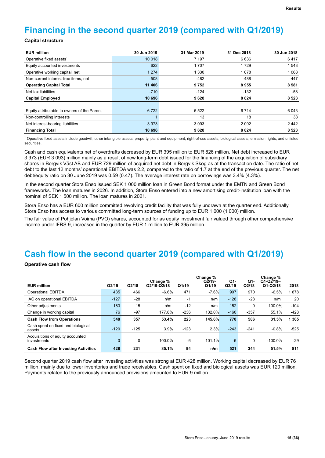# **Financing in the second quarter 2019 (compared with Q1/2019)**

### **Capital structure**

| <b>EUR million</b>                          | 30 Jun 2019 | 31 Mar 2019 | 31 Dec 2018 | 30 Jun 2018 |
|---------------------------------------------|-------------|-------------|-------------|-------------|
| Operative fixed assets <sup>1</sup>         | 10 018      | 7 197       | 6636        | 6417        |
| Equity accounted investments                | 622         | 1707        | 1729        | 1 543       |
| Operative working capital, net              | 1 2 7 4     | 1 3 3 0     | 1078        | 1068        |
| Non-current interest-free items, net        | $-508$      | $-482$      | -488        | $-447$      |
| <b>Operating Capital Total</b>              | 11 406      | 9752        | 8955        | 8581        |
| Net tax liabilities                         | $-710$      | $-124$      | $-132$      | -58         |
| <b>Capital Employed</b>                     | 10 696      | 9628        | 8824        | 8523        |
|                                             |             |             |             |             |
| Equity attributable to owners of the Parent | 6722        | 6 5 22      | 6714        | 6 0 4 3     |
| Non-controlling interests                   |             | 13          | 18          | 38          |
| Net interest-bearing liabilities            | 3973        | 3093        | 2092        | 2442        |
| <b>Financing Total</b>                      | 10 696      | 9628        | 8824        | 8 5 2 3     |

 $^1$  Operative fixed assets include goodwill, other intangible assets, property, plant and equipment, right-of-use assets, biological assets, emission rights, and unlisted securities.

Cash and cash equivalents net of overdrafts decreased by EUR 395 million to EUR 826 million. Net debt increased to EUR 3 973 (EUR 3 093) million mainly as a result of new long-term debt issued for the financing of the acquisition of subsidiary shares in Bergvik Väst AB and EUR 729 million of acquired net debt in Bergvik Skog as at the transaction date. The ratio of net debt to the last 12 months' operational EBITDA was 2.2, compared to the ratio of 1.7 at the end of the previous quarter. The net debt/equity ratio on 30 June 2019 was 0.59 (0.47). The average interest rate on borrowings was 3.4% (4.3%).

In the second quarter Stora Enso issued SEK 1 000 million loan in Green Bond format under the EMTN and Green Bond frameworks. The loan matures in 2026. In addition, Stora Enso entered into a new amortising credit-institution loan with the nominal of SEK 1 500 million. The loan matures in 2021.

Stora Enso has a EUR 600 million committed revolving credit facility that was fully undrawn at the quarter end. Additionally, Stora Enso has access to various committed long-term sources of funding up to EUR 1 000 (1 000) million.

The fair value of Pohjolan Voima (PVO) shares, accounted for as equity investment fair valued through other comprehensive income under IFRS 9, increased in the quarter by EUR 1 million to EUR 395 million.

# **Cash flow in the second quarter 2019 (compared with Q1/2019)**

**Operative cash flow**

|                                                 |          |        | Change %    |        | Change %<br>$Q2/19-$ | Q1-    | Q1-    | Change %<br>$Q1-Q2/19-$ |         |
|-------------------------------------------------|----------|--------|-------------|--------|----------------------|--------|--------|-------------------------|---------|
| <b>EUR million</b>                              | Q2/19    | Q2/18  | Q2/19-Q2/18 | Q1/19  | Q1/19                | Q2/19  | Q2/18  | $Q1-Q2/18$              | 2018    |
| <b>Operational EBITDA</b>                       | 435      | 466    | $-6.6%$     | 471    | $-7.6%$              | 907    | 970    | $-6.5%$                 | 878     |
| IAC on operational EBITDA                       | $-127$   | $-28$  | n/m         | $-1$   | n/m                  | $-128$ | $-28$  | n/m                     | 20      |
| Other adjustments                               | 163      | 15     | n/m         | $-12$  | n/m                  | 152    | 0      | 100.0%                  | $-104$  |
| Change in working capital                       | 76       | $-97$  | 177.8%      | $-236$ | 132.0%               | $-160$ | $-357$ | 55.1%                   | $-428$  |
| <b>Cash Flow from Operations</b>                | 548      | 357    | 53.4%       | 223    | 145.6%               | 770    | 586    | 31.5%                   | 1 3 6 5 |
| Cash spent on fixed and biological<br>assets    | $-120$   | $-125$ | 3.9%        | $-123$ | 2.3%                 | $-243$ | $-241$ | $-0.8%$                 | $-525$  |
| Acquisitions of equity accounted<br>investments | $\Omega$ | 0      | 100.0%      | -6     | 101.1%               | $-6$   | 0      | $-100.0\%$              | $-29$   |
| <b>Cash Flow after Investing Activities</b>     | 428      | 231    | 85.1%       | 94     | n/m                  | 521    | 344    | 51.5%                   | 811     |

Second quarter 2019 cash flow after investing activities was strong at EUR 428 million. Working capital decreased by EUR 76 million, mainly due to lower inventories and trade receivables. Cash spent on fixed and biological assets was EUR 120 million. Payments related to the previously announced provisions amounted to EUR 9 million.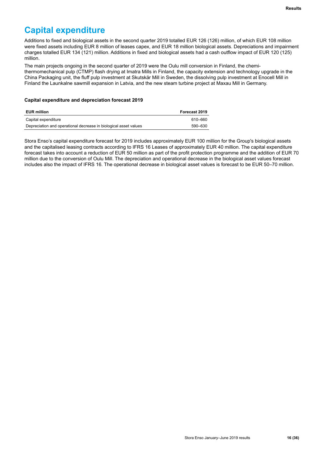# **Capital expenditure**

Additions to fixed and biological assets in the second quarter 2019 totalled EUR 126 (126) million, of which EUR 108 million were fixed assets including EUR 8 million of leases capex, and EUR 18 million biological assets. Depreciations and impairment charges totalled EUR 134 (121) million. Additions in fixed and biological assets had a cash outflow impact of EUR 120 (125) million.

The main projects ongoing in the second quarter of 2019 were the Oulu mill conversion in Finland, the chemithermomechanical pulp (CTMP) flash drying at Imatra Mills in Finland, the capacity extension and technology upgrade in the China Packaging unit, the fluff pulp investment at Skutskär Mill in Sweden, the dissolving pulp investment at Enocell Mill in Finland the Launkalne sawmill expansion in Latvia, and the new steam turbine project at Maxau Mill in Germany.

### **Capital expenditure and depreciation forecast 2019**

| <b>EUR million</b>                                               | Forecast 2019 |
|------------------------------------------------------------------|---------------|
| Capital expenditure                                              | 610-660       |
| Depreciation and operational decrease in biological asset values | 590–630       |

Stora Enso's capital expenditure forecast for 2019 includes approximately EUR 100 million for the Group's biological assets and the capitalised leasing contracts according to IFRS 16 Leases of approximately EUR 40 million. The capital expenditure forecast takes into account a reduction of EUR 50 million as part of the profit protection programme and the addition of EUR 70 million due to the conversion of Oulu Mill. The depreciation and operational decrease in the biological asset values forecast includes also the impact of IFRS 16. The operational decrease in biological asset values is forecast to be EUR 50–70 million.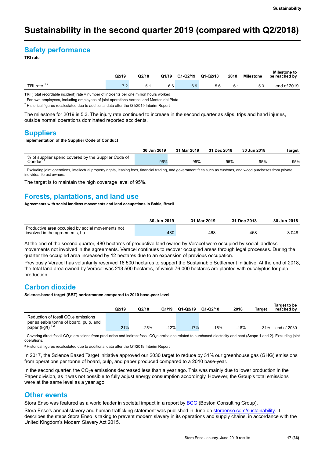# **Sustainability in the second quarter 2019 (compared with Q2/2018)**

## **Safety performance**

**TRI rate**

|               | Q2/19  | Q2/18 | Q1/19 | $Q1-Q2/19$ | Q1-Q2/18 | 2018 | <b>Milestone</b> | Milestone to<br>be reached by |
|---------------|--------|-------|-------|------------|----------|------|------------------|-------------------------------|
| TRI rate $12$ | 70<br> | ᄃ     | 6.6   | 6.9        | 5.6      | 6.1  | 5.3              | end of 2019                   |

**TRI** (Total recordable incident) rate = number of incidents per one million hours worked

<sup>1</sup> For own employees, including employees of joint operations Veracel and Montes del Plata

<sup>2</sup> Historical figures recalculated due to additional data after the Q1/2019 Interim Report

The milestone for 2019 is 5.3. The injury rate continued to increase in the second quarter as slips, trips and hand injuries, outside normal operations dominated reported accidents.

### **Suppliers**

#### **Implementation of the Supplier Code of Conduct**

|                                                     | 30 Jun 2019 | 31 Mar 2019 | 31 Dec 2018 | 30 Jun 2018 | Target |
|-----------------------------------------------------|-------------|-------------|-------------|-------------|--------|
| % of supplier spend covered by the Supplier Code of |             |             |             |             |        |
| Conduct <sup>1</sup>                                | 96%         | 95%         | 95%         | 95%         | 95%    |

 $^1$  Excluding joint operations, intellectual property rights, leasing fees, financial trading, and government fees such as customs, and wood purchases from private individual forest owners.

The target is to maintain the high coverage level of 95%.

### **Forests, plantations, and land use**

**Agreements with social landless movements and land occupations in Bahia, Brazil**

|                                                                                    | 30 Jun 2019 | 31 Mar 2019 | 31 Dec 2018 | 30 Jun 2018 |
|------------------------------------------------------------------------------------|-------------|-------------|-------------|-------------|
| Productive area occupied by social movements not<br>involved in the agreements, ha | 480         | 468         | 468         | 3048        |

At the end of the second quarter, 480 hectares of productive land owned by Veracel were occupied by social landless movements not involved in the agreements. Veracel continues to recover occupied areas through legal processes. During the quarter the occupied area increased by 12 hectares due to an expansion of previous occupation.

Previously Veracel has voluntarily reserved 16 500 hectares to support the Sustainable Settlement Initiative. At the end of 2018, the total land area owned by Veracel was 213 500 hectares, of which 76 000 hectares are planted with eucalyptus for pulp production.

### **Carbon dioxide**

**Science-based target (SBT) performance compared to 2010 base-year level**

|                                                                                           | Q2/19  | Q2/18  | Q1/19  | $Q1-Q2/19$ | Q1-Q2/18 | 2018   | Target | Target to be<br>reached by |
|-------------------------------------------------------------------------------------------|--------|--------|--------|------------|----------|--------|--------|----------------------------|
| Reduction of fossil CO <sub>2</sub> e emissions<br>per saleable tonne of board, pulp, and |        |        |        |            |          |        |        |                            |
| paper (kg/t) $12$                                                                         | $-21%$ | $-25%$ | $-12%$ | $-17%$     | $-16%$   | $-18%$ | $-31%$ | end of 2030                |

 $^1$  Covering direct fossil CO<sub>2</sub>e emissions from production and indirect fossil CO<sub>2</sub>e emissions related to purchased electricity and heat (Scope 1 and 2). Excluding joint operations.

² Historical figures recalculated due to additional data after the Q1/2019 Interim Report

In 2017, the Science Based Target initiative approved our 2030 target to reduce by 31% our greenhouse gas (GHG) emissions from operations per tonne of board, pulp, and paper produced compared to a 2010 base-year.

In the second quarter, the  $CO<sub>2</sub>e$  emissions decreased less than a year ago. This was mainly due to lower production in the Paper division, as it was not possible to fully adjust energy consumption accordingly. However, the Group's total emissions were at the same level as a year ago.

### **Other events**

Stora Enso was featured as a world leader in societal impact in a report by [BCG](https://www.bcg.com/publications/2019/world-leaders-social-impact.aspx) (Boston Consulting Group).

Stora Enso's annual slavery and human trafficking statement was published in June on [storaenso.com/sustainability.](https://www.storaenso.com/-/media/documents/download-center/documents/sustainability/slavery_and_human_trafficking_statement_2018.pdf) It describes the steps Stora Enso is taking to prevent modern slavery in its operations and supply chains, in accordance with the United Kingdom's Modern Slavery Act 2015.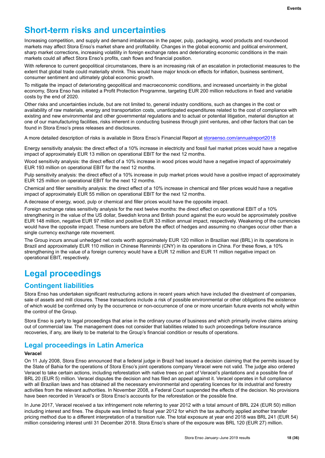# **Short-term risks and uncertainties**

Increasing competition, and supply and demand imbalances in the paper, pulp, packaging, wood products and roundwood markets may affect Stora Enso's market share and profitability. Changes in the global economic and political environment, sharp market corrections, increasing volatility in foreign exchange rates and deteriorating economic conditions in the main markets could all affect Stora Enso's profits, cash flows and financial position.

With reference to current geopolitical circumstances, there is an increasing risk of an escalation in protectionist measures to the extent that global trade could materially shrink. This would have major knock-on effects for inflation, business sentiment, consumer sentiment and ultimately global economic growth.

To mitigate the impact of deteriorating geopolitical and macroeconomic conditions, and increased uncertainty in the global economy, Stora Enso has initiated a Profit Protection Programme, targeting EUR 200 million reductions in fixed and variable costs by the end of 2020.

Other risks and uncertainties include, but are not limited to, general industry conditions, such as changes in the cost or availability of raw materials, energy and transportation costs, unanticipated expenditures related to the cost of compliance with existing and new environmental and other governmental regulations and to actual or potential litigation, material disruption at one of our manufacturing facilities, risks inherent in conducting business through joint ventures, and other factors that can be found in Stora Enso's press releases and disclosures.

A more detailed description of risks is available in Stora Enso's Financial Report at [storaenso.com/annualreport2018](https://annual-report.storaenso.com/2018)

Energy sensitivity analysis: the direct effect of a 10% increase in electricity and fossil fuel market prices would have a negative impact of approximately EUR 13 million on operational EBIT for the next 12 months.

Wood sensitivity analysis: the direct effect of a 10% increase in wood prices would have a negative impact of approximately EUR 193 million on operational EBIT for the next 12 months.

Pulp sensitivity analysis: the direct effect of a 10% increase in pulp market prices would have a positive impact of approximately EUR 125 million on operational EBIT for the next 12 months.

Chemical and filler sensitivity analysis: the direct effect of a 10% increase in chemical and filler prices would have a negative impact of approximately EUR 55 million on operational EBIT for the next 12 months.

A decrease of energy, wood, pulp or chemical and filler prices would have the opposite impact.

Foreign exchange rates sensitivity analysis for the next twelve months: the direct effect on operational EBIT of a 10% strengthening in the value of the US dollar, Swedish krona and British pound against the euro would be approximately positive EUR 148 million, negative EUR 97 million and positive EUR 33 million annual impact, respectively. Weakening of the currencies would have the opposite impact. These numbers are before the effect of hedges and assuming no changes occur other than a single currency exchange rate movement.

The Group incurs annual unhedged net costs worth approximately EUR 120 million in Brazilian real (BRL) in its operations in Brazil and approximately EUR 110 million in Chinese Renminbi (CNY) in its operations in China. For these flows, a 10% strengthening in the value of a foreign currency would have a EUR 12 million and EUR 11 million negative impact on operational EBIT, respectively.

# **Legal proceedings**

### **Contingent liabilities**

Stora Enso has undertaken significant restructuring actions in recent years which have included the divestment of companies, sale of assets and mill closures. These transactions include a risk of possible environmental or other obligations the existence of which would be confirmed only by the occurrence or non-occurrence of one or more uncertain future events not wholly within the control of the Group.

Stora Enso is party to legal proceedings that arise in the ordinary course of business and which primarily involve claims arising out of commercial law. The management does not consider that liabilities related to such proceedings before insurance recoveries, if any, are likely to be material to the Group's financial condition or results of operations.

### **Legal proceedings in Latin America**

### **Veracel**

On 11 July 2008, Stora Enso announced that a federal judge in Brazil had issued a decision claiming that the permits issued by the State of Bahia for the operations of Stora Enso's joint operations company Veracel were not valid. The judge also ordered Veracel to take certain actions, including reforestation with native trees on part of Veracel's plantations and a possible fine of BRL 20 (EUR 5) million. Veracel disputes the decision and has filed an appeal against it. Veracel operates in full compliance with all Brazilian laws and has obtained all the necessary environmental and operating licences for its industrial and forestry activities from the relevant authorities. In November 2008, a Federal Court suspended the effects of the decision. No provisions have been recorded in Veracel's or Stora Enso's accounts for the reforestation or the possible fine.

In June 2017, Veracel received a tax infringement note referring to year 2012 with a total amount of BRL 224 (EUR 50) million including interest and fines. The dispute was limited to fiscal year 2012 for which the tax authority applied another transfer pricing method due to a different interpretation of a transition rule. The total exposure at year end 2018 was BRL 241 (EUR 54) million considering interest until 31 December 2018. Stora Enso's share of the exposure was BRL 120 (EUR 27) million.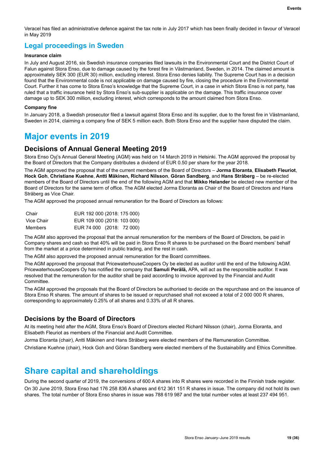Veracel has filed an administrative defence against the tax note in July 2017 which has been finally decided in favour of Veracel in May 2019

# **Legal proceedings in Sweden**

### **Insurance claim**

In July and August 2016, six Swedish insurance companies filed lawsuits in the Environmental Court and the District Court of Falun against Stora Enso, due to damage caused by the forest fire in Västmanland, Sweden, in 2014. The claimed amount is approximately SEK 300 (EUR 30) million, excluding interest. Stora Enso denies liability. The Supreme Court has in a decision found that the Environmental code is not applicable on damage caused by fire, closing the procedure in the Environmental Court. Further it has come to Stora Enso's knowledge that the Supreme Court, in a case in which Stora Enso is not party, has ruled that a traffic insurance held by Stora Enso's sub-supplier is applicable on the damage. This traffic insurance cover damage up to SEK 300 million, excluding interest, which corresponds to the amount claimed from Stora Enso.

### **Company fine**

In January 2018, a Swedish prosecutor filed a lawsuit against Stora Enso and its supplier, due to the forest fire in Västmanland, Sweden in 2014, claiming a company fine of SEK 5 million each. Both Stora Enso and the supplier have disputed the claim.

# **Major events in 2019**

### **Decisions of Annual General Meeting 2019**

Stora Enso Oyj's Annual General Meeting (AGM) was held on 14 March 2019 in Helsinki. The AGM approved the proposal by the Board of Directors that the Company distributes a dividend of EUR 0.50 per share for the year 2018.

The AGM approved the proposal that of the current members of the Board of Directors – **Jorma Eloranta**, **Elisabeth Fleuriot**, **Hock Goh**, **Christiane Kuehne**, **Antti Mäkinen, Richard Nilsson**, **Göran Sandberg**, and **Hans Stråberg** – be re-elected members of the Board of Directors until the end of the following AGM and that **Mikko Helander** be elected new member of the Board of Directors for the same term of office. The AGM elected Jorma Eloranta as Chair of the Board of Directors and Hans Stråberg as Vice Chair.

The AGM approved the proposed annual remuneration for the Board of Directors as follows:

| Chair      | EUR 192 000 (2018: 175 000) |  |
|------------|-----------------------------|--|
| Vice Chair | EUR 109 000 (2018: 103 000) |  |
| Members    | EUR 74 000 (2018: 72 000)   |  |

The AGM also approved the proposal that the annual remuneration for the members of the Board of Directors, be paid in Company shares and cash so that 40% will be paid in Stora Enso R shares to be purchased on the Board members' behalf from the market at a price determined in public trading, and the rest in cash.

The AGM also approved the proposed annual remuneration for the Board committees.

The AGM approved the proposal that PricewaterhouseCoopers Oy be elected as auditor until the end of the following AGM. PricewaterhouseCoopers Oy has notified the company that **Samuli Perälä,** APA, will act as the responsible auditor. It was resolved that the remuneration for the auditor shall be paid according to invoice approved by the Financial and Audit Committee.

The AGM approved the proposals that the Board of Directors be authorised to decide on the repurchase and on the issuance of Stora Enso R shares. The amount of shares to be issued or repurchased shall not exceed a total of 2 000 000 R shares, corresponding to approximately 0.25% of all shares and 0.33% of all R shares.

### **Decisions by the Board of Directors**

At its meeting held after the AGM, Stora Enso's Board of Directors elected Richard Nilsson (chair), Jorma Eloranta, and Elisabeth Fleuriot as members of the Financial and Audit Committee.

Jorma Eloranta (chair), Antti Mäkinen and Hans Stråberg were elected members of the Remuneration Committee.

Christiane Kuehne (chair), Hock Goh and Göran Sandberg were elected members of the Sustainability and Ethics Committee.

# **Share capital and shareholdings**

During the second quarter of 2019, the conversions of 600 A shares into R shares were recorded in the Finnish trade register. On 30 June 2019, Stora Enso had 176 258 836 A shares and 612 361 151 R shares in issue. The company did not hold its own shares. The total number of Stora Enso shares in issue was 788 619 987 and the total number votes at least 237 494 951.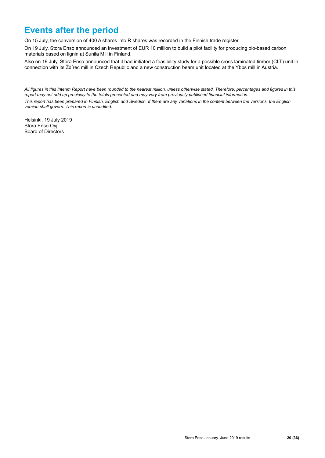# **Events after the period**

On 15 July, the conversion of 400 A shares into R shares was recorded in the Finnish trade register

On 19 July, Stora Enso announced an investment of EUR 10 million to build a pilot facility for producing bio-based carbon materials based on lignin at Sunila Mill in Finland.

Also on 19 July, Stora Enso announced that it had initiated a feasibility study for a possible cross laminated timber (CLT) unit in connection with its Ždírec mill in Czech Republic and a new construction beam unit located at the Ybbs mill in Austria.

*All figures in this Interim Report have been rounded to the nearest million, unless otherwise stated. Therefore, percentages and figures in this report may not add up precisely to the totals presented and may vary from previously published financial information.*

*This report has been prepared in Finnish, English and Swedish. If there are any variations in the content between the versions, the English version shall govern. This report is unaudited.* 

Helsinki, 19 July 2019 Stora Enso Oyj Board of Directors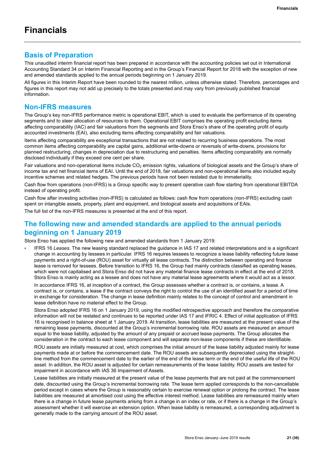### **Basis of Preparation**

This unaudited interim financial report has been prepared in accordance with the accounting policies set out in International Accounting Standard 34 on Interim Financial Reporting and in the Group's Financial Report for 2018 with the exception of new and amended standards applied to the annual periods beginning on 1 January 2019.

All figures in this Interim Report have been rounded to the nearest million, unless otherwise stated. Therefore, percentages and figures in this report may not add up precisely to the totals presented and may vary from previously published financial information.

### **Non-IFRS measures**

The Group's key non-IFRS performance metric is operational EBIT, which is used to evaluate the performance of its operating segments and to steer allocation of resources to them. Operational EBIT comprises the operating profit excluding items affecting comparability (IAC) and fair valuations from the segments and Stora Enso's share of the operating profit of equity accounted investments (EAI), also excluding items affecting comparability and fair valuations.

Items affecting comparability are exceptional transactions that are not related to recurring business operations. The most common items affecting comparability are capital gains, additional write-downs or reversals of write-downs, provisions for planned restructuring, changes in depreciation due to restructuring and penalties. Items affecting comparability are normally disclosed individually if they exceed one cent per share.

Fair valuations and non-operational items include  $CO<sub>2</sub>$  emission rights, valuations of biological assets and the Group's share of income tax and net financial items of EAI. Until the end of 2018, fair valuations and non-operational items also included equity incentive schemes and related hedges. The previous periods have not been restated due to immateriality.

Cash flow from operations (non-IFRS) is a Group specific way to present operative cash flow starting from operational EBITDA instead of operating profit.

Cash flow after investing activities (non-IFRS) is calculated as follows: cash flow from operations (non-IFRS) excluding cash spent on intangible assets, property, plant and equipment, and biological assets and acquisitions of EAIs.

The full list of the non-IFRS measures is presented at the end of this report.

### **The following new and amended standards are applied to the annual periods beginning on 1 January 2019**

Stora Enso has applied the following new and amended standards from 1 January 2019:

• IFRS 16 *Leases*. The new leasing standard replaced the guidance in IAS 17 and related interpretations and is a significant change in accounting by lessees in particular. IFRS 16 requires lessees to recognize a lease liability reflecting future lease payments and a right-of-use (ROU) asset for virtually all lease contracts. The distinction between operating and finance lease is removed for lessees. Before transition to IFRS 16, the Group had mainly contracts classified as operating leases, which were not capitalised and Stora Enso did not have any material finance lease contracts in effect at the end of 2018. Stora Enso is mainly acting as a lessee and does not have any material lease agreements where it would act as a lessor.

In accordance IFRS 16, at inception of a contract, the Group assesses whether a contract is, or contains, a lease. A contract is, or contains, a lease if the contract conveys the right to control the use of an identified asset for a period of time in exchange for consideration. The change in lease definition mainly relates to the concept of control and amendment in lease definition have no material effect to the Group.

Stora Enso adopted IFRS 16 on 1 January 2019, using the modified retrospective approach and therefore the comparative information will not be restated and continues to be reported under IAS 17 and IFRIC 4. Effect of initial application of IFRS 16 is recognised in balance sheet at 1 January 2019. At transition, lease liabilities are measured at the present value of the remaining lease payments, discounted at the Group's incremental borrowing rate. ROU assets are measured an amount equal to the lease liability, adjusted by the amount of any prepaid or accrued lease payments. The Group allocates the consideration in the contract to each lease component and will separate non-lease components if these are identifiable.

ROU assets are initially measured at cost, which comprises the initial amount of the lease liability adjusted mainly for lease payments made at or before the commencement date. The ROU assets are subsequently depreciated using the straightline method from the commencement date to the earlier of the end of the lease term or the end of the useful life of the ROU asset. In addition, the ROU asset is adjusted for certain remeasurements of the lease liability. ROU assets are tested for impairment in accordance with IAS 36 Impairment of Assets.

Lease liabilities are initially measured at the present value of the lease payments that are not paid at the commencement date, discounted using the Group's incremental borrowing rate. The lease term applied corresponds to the non-cancellable period except in cases where the Group is reasonably certain to exercise renewal option or prolong the contract. The lease liabilities are measured at amortised cost using the effective interest method. Lease liabilities are remeasured mainly when there is a change in future lease payments arising from a change in an index or rate, or if there is a change in the Group's assessment whether it will exercise an extension option. When lease liability is remeasured, a corresponding adjustment is generally made to the carrying amount of the ROU asset.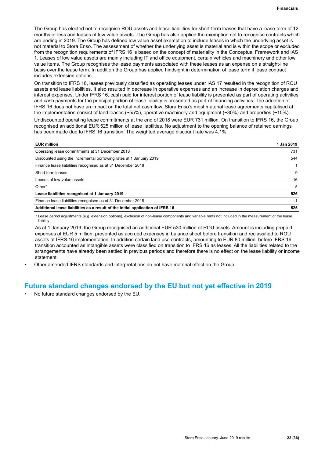The Group has elected not to recognise ROU assets and lease liabilities for short-term leases that have a lease term of 12 months or less and leases of low value assets. The Group has also applied the exemption not to recognise contracts which are ending in 2019. The Group has defined low value asset exemption to include leases in which the underlying asset is not material to Stora Enso. The assessment of whether the underlying asset is material and is within the scope or excluded from the recognition requirements of IFRS 16 is based on the concept of materiality in the Conceptual Framework and IAS 1. Leases of low value assets are mainly including IT and office equipment, certain vehicles and machinery and other low value items. The Group recognises the lease payments associated with these leases as an expense on a straight-line basis over the lease term. In addition the Group has applied hindsight in determination of lease term if lease contract includes extension options.

On transition to IFRS 16, leases previously classified as operating leases under IAS 17 resulted in the recognition of ROU assets and lease liabilities. It also resulted in decrease in operative expenses and an increase in depreciation charges and interest expenses. Under IFRS 16, cash paid for interest portion of lease liability is presented as part of operating activities and cash payments for the principal portion of lease liability is presented as part of financing activities. The adoption of IFRS 16 does not have an impact on the total net cash flow. Stora Enso's most material lease agreements capitalised at the implementation consist of land leases (~55%), operative machinery and equipment (~30%) and properties (~15%).

Undiscounted operating lease commitments at the end of 2018 were EUR 731 million. On transition to IFRS 16, the Group recognised an additional EUR 525 million of lease liabilities. No adjustment to the opening balance of retained earnings has been made due to IFRS 16 transition. The weighted average discount rate was 4.1%.

| <b>EUR million</b>                                                             | 1 Jan 2019 |
|--------------------------------------------------------------------------------|------------|
| Operating lease commitments at 31 December 2018                                | 731        |
| Discounted using the incremental borrowing rates at 1 January 2019             | 544        |
| Finance lease liabilities recognised as at 31 December 2018                    |            |
| Short term leases                                                              | -9         |
| Leases of low-value assets                                                     | $-16$      |
| Other*                                                                         | 5          |
| Lease liabilities recognised at 1 January 2019                                 | 526        |
| Finance lease liabilities recognised as at 31 December 2018                    | -1         |
| Additional lease liabilities as a result of the initial application of IFRS 16 | 525        |

\* Lease period adjustments (e.g. extension options), exclusion of non-lease components and variable rents not included in the measurement of the lease liability

As at 1 January 2019, the Group recognised an additional EUR 530 million of ROU assets. Amount is including prepaid expenses of EUR 5 million, presented as accrued expenses in balance sheet before transition and reclassified to ROU assets at IFRS 16 implementation. In addition certain land use contracts, amounting to EUR 80 million, before IFRS 16 transition accounted as intangible assets were classified on transition to IFRS 16 as leases. All the liabilities related to the arrangements have already been settled in previous periods and therefore there is no effect on the lease liability or income statement.

• Other amended IFRS standards and interpretations do not have material effect on the Group.

### **Future standard changes endorsed by the EU but not yet effective in 2019**

• No future standard changes endorsed by the EU.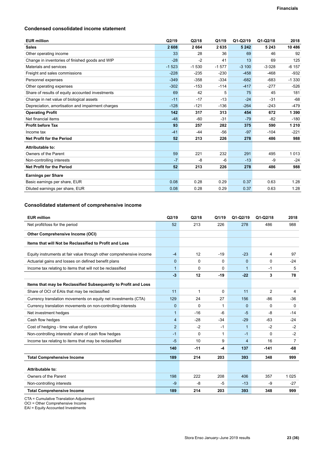### **Condensed consolidated income statement**

| <b>EUR million</b>                                | Q2/19   | Q2/18   | Q1/19   | $Q1-Q2/19$ | Q1-Q2/18 | 2018    |
|---------------------------------------------------|---------|---------|---------|------------|----------|---------|
| <b>Sales</b>                                      | 2608    | 2664    | 2635    | 5 2 4 2    | 5 2 4 3  | 10 486  |
| Other operating income                            | 33      | 28      | 36      | 69         | 46       | 92      |
| Change in inventories of finished goods and WIP   | $-28$   | $-2$    | 41      | 13         | 69       | 125     |
| Materials and services                            | $-1523$ | $-1530$ | $-1577$ | $-3100$    | $-3028$  | $-6157$ |
| Freight and sales commissions                     | $-228$  | $-235$  | $-230$  | $-458$     | $-468$   | $-932$  |
| Personnel expenses                                | $-349$  | $-358$  | $-334$  | $-682$     | $-683$   | $-1330$ |
| Other operating expenses                          | $-302$  | $-153$  | $-114$  | $-417$     | $-277$   | $-526$  |
| Share of results of equity accounted investments  | 69      | 42      | 5       | 75         | 45       | 181     |
| Change in net value of biological assets          | $-11$   | $-17$   | $-13$   | $-24$      | $-31$    | $-68$   |
| Depreciation, amortisation and impairment charges | $-128$  | $-121$  | $-136$  | $-264$     | $-243$   | $-479$  |
| <b>Operating Profit</b>                           | 142     | 317     | 313     | 454        | 672      | 1 3 9 0 |
| Net financial items                               | $-48$   | $-60$   | $-31$   | $-79$      | $-82$    | $-180$  |
| <b>Profit before Tax</b>                          | 93      | 257     | 282     | 375        | 590      | 1 2 1 0 |
| Income tax                                        | $-41$   | $-44$   | $-56$   | $-97$      | $-104$   | $-221$  |
| <b>Net Profit for the Period</b>                  | 52      | 213     | 226     | 278        | 486      | 988     |
| Attributable to:                                  |         |         |         |            |          |         |
| Owners of the Parent                              | 59      | 221     | 232     | 291        | 495      | 1013    |
| Non-controlling interests                         | $-7$    | -8      | $-6$    | $-13$      | -9       | $-24$   |
| <b>Net Profit for the Period</b>                  | 52      | 213     | 226     | 278        | 486      | 988     |
| <b>Earnings per Share</b>                         |         |         |         |            |          |         |
| Basic earnings per share, EUR                     | 0.08    | 0.28    | 0.29    | 0.37       | 0.63     | 1.28    |
| Diluted earnings per share, EUR                   | 0.08    | 0.28    | 0.29    | 0.37       | 0.63     | 1.28    |

### **Consolidated statement of comprehensive income**

| <b>EUR million</b>                                                  | Q2/19          | Q2/18        | Q1/19        | Q1-Q2/19     | $Q1-Q2/18$     | 2018           |
|---------------------------------------------------------------------|----------------|--------------|--------------|--------------|----------------|----------------|
| Net profit/loss for the period                                      | 52             | 213          | 226          | 278          | 486            | 988            |
| <b>Other Comprehensive Income (OCI)</b>                             |                |              |              |              |                |                |
| Items that will Not be Reclassified to Profit and Loss              |                |              |              |              |                |                |
| Equity instruments at fair value through other comprehensive income | $-4$           | 12           | $-19$        | $-23$        | 4              | 97             |
| Actuarial gains and losses on defined benefit plans                 | 0              | $\Omega$     | $\mathbf{0}$ | $\Omega$     | 0              | $-24$          |
| Income tax relating to items that will not be reclassified          | $\mathbf{1}$   | $\Omega$     | $\Omega$     | $\mathbf{1}$ | -1             | 5              |
|                                                                     | $-3$           | 12           | $-19$        | $-22$        | 3              | 78             |
| Items that may be Reclassified Subsequently to Profit and Loss      |                |              |              |              |                |                |
| Share of OCI of EAIs that may be reclassified                       | 11             | $\mathbf{1}$ | $\Omega$     | 11           | $\overline{2}$ | 4              |
| Currency translation movements on equity net investments (CTA)      | 129            | 24           | 27           | 156          | $-86$          | $-36$          |
| Currency translation movements on non-controlling interests         | $\mathbf{0}$   | $\Omega$     | 1            | $\Omega$     | $\Omega$       | $\Omega$       |
| Net investment hedges                                               | $\mathbf{1}$   | $-16$        | $-6$         | $-5$         | $-8$           | $-14$          |
| Cash flow hedges                                                    | $\overline{4}$ | $-28$        | $-34$        | $-29$        | $-63$          | $-24$          |
| Cost of hedging - time value of options                             | $\overline{2}$ | $-2$         | -1           | $\mathbf{1}$ | $-2$           | $-2$           |
| Non-controlling interests' share of cash flow hedges                | $-1$           | $\Omega$     | 1            | $-1$         | $\Omega$       | $-2$           |
| Income tax relating to items that may be reclassified               | $-5$           | 10           | 9            | 4            | 16             | $\overline{7}$ |
|                                                                     | 140            | $-11$        | $-4$         | 137          | $-141$         | $-68$          |
| <b>Total Comprehensive Income</b>                                   | 189            | 214          | 203          | 393          | 348            | 999            |
| Attributable to:                                                    |                |              |              |              |                |                |
| Owners of the Parent                                                | 198            | 222          | 208          | 406          | 357            | 1 0 2 5        |
| Non-controlling interests                                           | $-9$           | -8           | $-5$         | $-13$        | $-9$           | $-27$          |
| <b>Total Comprehensive Income</b>                                   | 189            | 214          | 203          | 393          | 348            | 999            |

CTA = Cumulative Translation Adjustment

OCI = Other Comprehensive Income

EAI = Equity Accounted Investments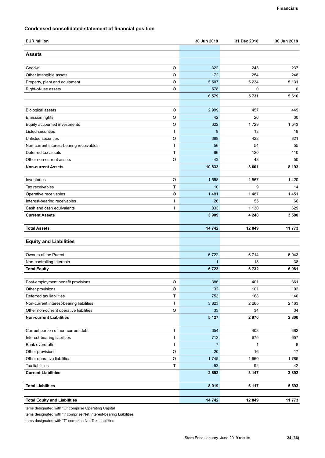### **Condensed consolidated statement of financial position**

| <b>EUR million</b>                                       | 30 Jun 2019    | 31 Dec 2018    | 30 Jun 2018    |
|----------------------------------------------------------|----------------|----------------|----------------|
| <b>Assets</b>                                            |                |                |                |
|                                                          |                |                |                |
| Goodwill<br>O                                            | 322            | 243            | 237            |
| O<br>Other intangible assets<br>O                        | 172<br>5 5 0 7 | 254<br>5 2 3 4 | 248<br>5 1 3 1 |
| Property, plant and equipment<br>O                       | 578            | $\mathbf 0$    | 0              |
| Right-of-use assets                                      | 6579           | 5731           | 5616           |
|                                                          |                |                |                |
| O<br><b>Biological assets</b>                            | 2 9 9 9        | 457            | 449            |
| $\circ$<br>Emission rights                               | 42             | 26             | 30             |
| O<br>Equity accounted investments                        | 622            | 1729           | 1 543          |
| Listed securities                                        | 9              | 13             | 19             |
| O<br>Unlisted securities                                 | 398            | 422            | 321            |
| Non-current interest-bearing receivables<br>ı            | 56             | 54             | 55             |
| T<br>Deferred tax assets                                 | 86             | 120            | 110            |
| $\circ$<br>Other non-current assets                      | 43             | 48             | 50             |
| <b>Non-current Assets</b>                                | 10833          | 8601           | 8 1 9 3        |
|                                                          |                |                |                |
| O<br>Inventories                                         | 1558           | 1567           | 1420           |
| Tax receivables<br>T                                     | 10             | 9              | 14             |
| O<br>Operative receivables                               | 1481           | 1487           | 1451           |
| Interest-bearing receivables<br>ı                        | 26             | 55             | 66             |
| Cash and cash equivalents<br>ı                           | 833            | 1 1 3 0        | 629            |
| <b>Current Assets</b>                                    | 3 9 0 9        | 4 2 4 8        | 3580           |
|                                                          |                |                |                |
| <b>Total Assets</b>                                      | 14742          | 12 849         | 11773          |
| <b>Equity and Liabilities</b>                            |                |                |                |
|                                                          |                |                |                |
| Owners of the Parent                                     | 6722           | 6714           | 6043           |
| Non-controlling Interests                                | $\mathbf{1}$   | 18             | 38             |
| <b>Total Equity</b>                                      | 6723           | 6732           | 6081           |
| Post-employment benefit provisions<br>O                  | 386            | 401            | 361            |
| $\circ$<br>Other provisions                              | 132            | 101            | 102            |
| Deferred tax liabilities<br>Τ                            | 753            | 168            | 140            |
| Non-current interest-bearing liabilities<br>$\mathsf{I}$ | 3823           | 2 2 6 5        | 2 1 6 3        |
| $\mathsf O$<br>Other non-current operative liabilities   | 33             | 34             | 34             |
| <b>Non-current Liabilities</b>                           | 5 1 2 7        | 2970           | 2800           |
|                                                          |                |                |                |
| Current portion of non-current debt<br>I                 | 354            | 403            | 382            |
| Interest-bearing liabilities<br>I                        | 712            | 675            | 657            |
| Bank overdrafts<br>I                                     | $\overline{7}$ | 1              | 8              |
| O<br>Other provisions                                    | 20             | 16             | 17             |
| $\hbox{O}$<br>Other operative liabilities                | 1745           | 1960           | 1786           |
| T<br>Tax liabilities                                     | 53             | 92             | 42             |
| <b>Current Liabilities</b>                               | 2892           | 3 1 4 7        | 2892           |
| <b>Total Liabilities</b>                                 | 8 0 1 9        | 6 1 1 7        | 5693           |
|                                                          |                |                |                |
| <b>Total Equity and Liabilities</b>                      | 14 742         | 12 849         | 11 773         |

Items designated with "O" comprise Operating Capital

Items designated with "I" comprise Net Interest-bearing Liabilities

Items designated with "T" comprise Net Tax Liabilities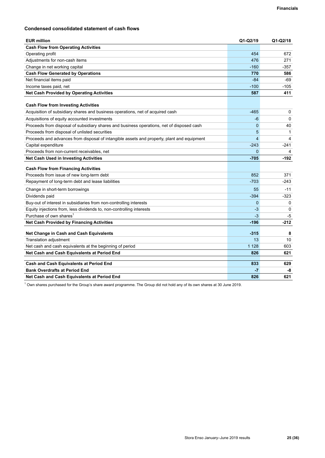### **Condensed consolidated statement of cash flows**

| <b>EUR million</b>                                                                         | Q1-Q2/19                | $Q1 - Q2/18$ |
|--------------------------------------------------------------------------------------------|-------------------------|--------------|
| <b>Cash Flow from Operating Activities</b>                                                 |                         |              |
| Operating profit                                                                           | 454                     | 672          |
| Adjustments for non-cash items                                                             | 476                     | 271          |
| Change in net working capital                                                              | $-160$                  | -357         |
| <b>Cash Flow Generated by Operations</b>                                                   | 770                     | 586          |
| Net financial items paid                                                                   | $-84$                   | $-69$        |
| Income taxes paid, net                                                                     | $-100$                  | $-105$       |
| <b>Net Cash Provided by Operating Activities</b>                                           | 587                     | 411          |
|                                                                                            |                         |              |
| <b>Cash Flow from Investing Activities</b>                                                 |                         |              |
| Acquisition of subsidiary shares and business operations, net of acquired cash             | $-465$                  | 0            |
| Acquisitions of equity accounted investments                                               | -6                      | 0            |
| Proceeds from disposal of subsidiary shares and business operations, net of disposed cash  | $\mathbf 0$             | 40           |
| Proceeds from disposal of unlisted securities                                              | 5                       | 1            |
| Proceeds and advances from disposal of intangible assets and property, plant and equipment | $\overline{\mathbf{4}}$ | 4            |
| Capital expenditure                                                                        | $-243$                  | $-241$       |
| Proceeds from non-current receivables, net                                                 | $\Omega$                | 4            |
| <b>Net Cash Used in Investing Activities</b>                                               | $-705$                  | $-192$       |
| <b>Cash Flow from Financing Activities</b>                                                 |                         |              |
| Proceeds from issue of new long-term debt                                                  | 852                     | 371          |
| Repayment of long-term debt and lease liabilities                                          | $-703$                  | $-243$       |
| Change in short-term borrowings                                                            | 55                      | $-11$        |
| Dividends paid                                                                             | $-394$                  | $-323$       |
| Buy-out of interest in subsidiaries from non-controlling interests                         | 0                       | 0            |
| Equity injections from, less dividends to, non-controlling interests                       | -3                      | $\Omega$     |
| Purchase of own shares <sup>1</sup>                                                        | $-3$                    | -5           |
| <b>Net Cash Provided by Financing Activities</b>                                           | $-196$                  | $-212$       |
| Net Change in Cash and Cash Equivalents                                                    | $-315$                  | 8            |
| Translation adjustment                                                                     | 13                      | 10           |
| Net cash and cash equivalents at the beginning of period                                   | 1 1 2 8                 | 603          |
| Net Cash and Cash Equivalents at Period End                                                | 826                     | 621          |
|                                                                                            |                         |              |
| <b>Cash and Cash Equivalents at Period End</b>                                             | 833                     | 629          |
| <b>Bank Overdrafts at Period End</b>                                                       | $-7$                    | -8           |
| Net Cash and Cash Equivalents at Period End                                                | 826                     | 621          |

 $^1$  Own shares purchased for the Group's share award programme. The Group did not hold any of its own shares at 30 June 2019.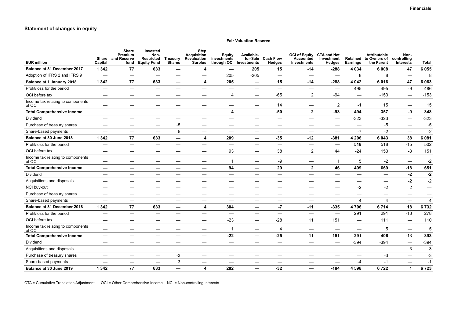#### **Statement of changes in equity**

#### **Fair Valuation Reserve EUR million Share and Reserve Capital Share Premium fund Invested Non-Restricted Equity Fund Treasury Shares Step Acquisition Revaluation Surplus Equity investments through OCI Investments Availablefor-Sale Cash Flow Hedges OCI of Equity CTA and Net Accounted Investments Investment Hedges Retained Earnings Attributable to Owners of the Parent Noncontrolling Interests Total Balance at 31 December 2017 1 342 77 633 — 4 — 205 15 -14 -288 4 034 6 008 47 6 055** Adoption of IFRS 2 and IFRS 9 **— — — — —** 205 -205 **— — —** 8 8 **—** 8 **Balance at 1 January 2018 1 342 77 633 — 4 205 — 15 -14 -288 4 042 6 016 47 6 063** Profit/loss for the period — — — — — — — — — — 495 495 -9 486 OCI before tax — — — — 4 — -65 2 -94 — -153 — -153 Income tax relating to components<br>of OCI of OCI — — — — — — — 14 — 2 -1 15 — 15 **Total Comprehensive Income — — — — — 4 — -50 2 -93 494 357 -9 348** Dividend — — — — — — — — — — -323 -323 — -323 Purchase of treasury shares — — — -5 — — — — — — — — — — -5 5 — -5 Share-based payments — — — 5 — — — — — — -7 -2 — -2 **Balance at 30 June 2018 1 342 77 633 — 4 209 — -35 -12 -381 4 206 6 043 38 6 081** Profit/loss for the period — — — — — — — — — **— 518** 518 -15 502 OCI before tax — — — — 93 — 38 2 44 -24 153 -3 151 Income tax relating to components<br>of OCI of OCI — — — — — 1 — -9 — 1 5 -2 — -2 **Total Comprehensive Income — — — — — 94 — 29 2 46 499 669 -18 651** Dividend — — — — — — — — — — **— — -2 -2** Acquisitions and disposals — — — — — — — — — — — — -2 -2 NCI buy-out — — — — — — — — -2 -2 2 — Purchase of treasury shares — — — — — — — — — — — — — — Share-based payments — — — — — — — — — — 4 4 — 4 **Balance at 31 December 2018 1 342 77 633 — 4 304 — -7 -11 -335 4 706 6 714 18 6 732** Profit/loss for the period — — — — — — — — — — 291 291 -13 278 OCI before tax — — — — —23 — -28 11 151 — 111 — 110 Income tax relating to components<br>of OCI обоси населения — — — — — — — — — 1 — — 4 — — — — — 5 — — 5<br>of OCI **Total Comprehensive Income — — — — — -22 — -25 11 151 291 406** -13 **393** Dividend — — — — — — — — — — -394 -394 — -394 Acquisitions and disposals — — — — — — — — — — — — -3 -3 Purchase of treasury shares — — — -3 — — — — — — — -3 — -3 Share-based payments — — — 3 — — — — — — -4 -1 — -1 **Balance at 30 June 2019 1 342 77 633 — 4 282 — -32 — -184 4 598 6 722 1 6 723**

CTA = Cumulative Translation Adjustment OCI = Other Comprehensive Income NCI = Non-controlling Interests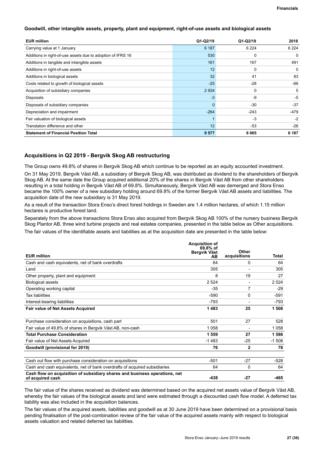### <span id="page-27-0"></span>**Goodwill, other intangible assets, property, plant and equipment, right-of-use assets and biological assets**

| <b>EUR million</b>                                          | $Q1-Q2/19$ | $Q1-Q2/18$ | 2018     |
|-------------------------------------------------------------|------------|------------|----------|
| Carrying value at 1 January                                 | 6 187      | 6 2 2 4    | 6 2 2 4  |
| Additions in right-of-use assets due to adoption of IFRS 16 | 530        | 0          | $\Omega$ |
| Additions in tangible and intangible assets                 | 161        | 167        | 491      |
| Additions in right-of-use assets                            | 12         | 0          | 0        |
| Additions in biological assets                              | 32         | 41         | 83       |
| Costs related to growth of biological assets                | $-25$      | -28        | $-66$    |
| Acquisition of subsidiary companies                         | 2934       | 0          | 5        |
| Disposals                                                   | $-3$       | $-9$       | -5       |
| Disposals of subsidiary companies                           | $\Omega$   | $-30$      | $-37$    |
| Depreciation and impairment                                 | $-264$     | $-243$     | $-479$   |
| Fair valuation of biological assets                         |            | $-3$       | $-2$     |
| Translation difference and other                            | 12         | $-53$      | $-26$    |
| <b>Statement of Financial Position Total</b>                | 9577       | 6065       | 6 187    |

### **Acquisitions in Q2 2019 - Bergvik Skog AB restructuring**

The Group owns 49.8% of shares in Bergvik Skog AB which continue to be reported as an equity accounted investment.

On 31 May 2019, Bergvik Väst AB, a subsidiary of Bergvik Skog AB, was distributed as dividend to the shareholders of Bergvik Skog AB. At the same date the Group acquired additional 20% of the shares in Bergvik Väst AB from other shareholders resulting in a total holding in Bergvik Väst AB of 69.8%. Simultaneously, Bergvik Väst AB was demerged and Stora Enso became the 100% owner of a new subsidiary holding around 69.8% of the former Bergvik Väst AB assets and liabilities. The acquisition date of the new subsidiary is 31 May 2019.

As a result of the transaction Stora Enso's direct forest holdings in Sweden are 1.4 million hectares, of which 1.15 million hectares is productive forest land.

Separately from the above transactions Stora Enso also acquired from Bergvik Skog AB 100% of the nursery business Bergvik Skog Plantor AB, three wind turbine projects and real estates companies, presented in the table below as Other acquisitions.

The fair values of the identifiable assets and liabilities as at the acquisition date are presented in the table below:

|                                                                                                | <b>Acquisition of</b><br>$69.8%$ of<br>Bergvik Väst | Other                    |         |
|------------------------------------------------------------------------------------------------|-----------------------------------------------------|--------------------------|---------|
| <b>EUR</b> million                                                                             | AВ                                                  | acquisitions             | Total   |
| Cash and cash equivalents, net of bank overdrafts                                              | 64                                                  | 0                        | 64      |
| Land                                                                                           | 305                                                 | $\overline{\phantom{0}}$ | 305     |
| Other property, plant and equipment                                                            | 8                                                   | 19                       | 27      |
| <b>Biological assets</b>                                                                       | 2 5 24                                              | $\overline{\phantom{a}}$ | 2 5 2 4 |
| Operating working capital                                                                      | $-35$                                               | 7                        | $-29$   |
| <b>Tax liabilities</b>                                                                         | $-590$                                              | 0                        | $-591$  |
| Interest-bearing liabilities                                                                   | $-793$                                              | $\overline{\phantom{a}}$ | $-793$  |
| <b>Fair value of Net Assets Acquired</b>                                                       | 1483                                                | 25                       | 1 508   |
| Purchase consideration on acquisitions, cash part                                              | 501                                                 | 27                       | 528     |
| Fair value of 49.8% of shares in Bergvik Väst AB, non-cash                                     | 1058                                                | $\blacksquare$           | 1 0 5 8 |
| <b>Total Purchase Consideration</b>                                                            | 1 559                                               | 27                       | 1586    |
| Fair value of Net Assets Acquired                                                              | $-1483$                                             | $-25$                    | $-1508$ |
| Goodwill (provisional for 2019)                                                                | 76                                                  | 2                        | 78      |
|                                                                                                |                                                     |                          |         |
| Cash out flow with purchase consideration on acquisitions                                      | $-501$                                              | $-27$                    | $-528$  |
| Cash and cash equivalents, net of bank overdrafts of acquired subsidiaries                     | 64                                                  | 0                        | 64      |
| Cash flow on acquisition of subsidiary shares and business operations, net<br>of acquired cash | $-438$                                              | $-27$                    | $-465$  |

The fair value of the shares received as dividend was determined based on the acquired net assets value of Bergvik Väst AB, whereby the fair values of the biological assets and land were estimated through a discounted cash flow model. A deferred tax liability was also included in the acquisition balances.

The fair values of the acquired assets, liabilities and goodwill as at 30 June 2019 have been determined on a provisional basis pending finalisation of the post-combination review of the fair value of the acquired assets mainly with respect to biological assets valuation and related deferred tax liabilities.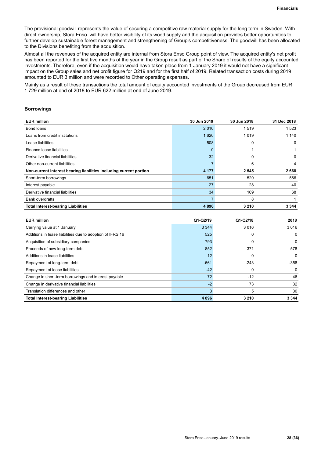The provisional goodwill represents the value of securing a competitive raw material supply for the long term in Sweden. With direct ownership, Stora Enso will have better visibility of its wood supply and the acquisition provides better opportunities to further develop sustainable forest management and strengthening of Group's competitiveness. The goodwill has been allocated to the Divisions benefiting from the acquisition.

Almost all the revenues of the acquired entity are internal from Stora Enso Group point of view. The acquired entity's net profit has been reported for the first five months of the year in the Group result as part of the Share of results of the equity accounted investments. Therefore, even if the acquisition would have taken place from 1 January 2019 it would not have a significant impact on the Group sales and net profit figure for Q219 and for the first half of 2019. Related transaction costs during 2019 amounted to EUR 3 million and were recorded to Other operating expenses.

Mainly as a result of these transactions the total amount of equity accounted investments of the Group decreased from EUR 1 729 million at end of 2018 to EUR 622 million at end of June 2019.

### **Borrowings**

| <b>EUR million</b>                                                 | 30 Jun 2019     | 30 Jun 2018 | 31 Dec 2018 |
|--------------------------------------------------------------------|-----------------|-------------|-------------|
| Bond loans                                                         | 2010            | 1519        | 1523        |
| Loans from credit institutions                                     | 1620            | 1019        | 1 140       |
| Lease liabilities                                                  | 508             | 0           | 0           |
| Finance lease liabilities                                          | $\Omega$        |             |             |
| Derivative financial liabilities                                   | 32 <sup>2</sup> | 0           | 0           |
| Other non-current liabilities                                      |                 | 6           | 4           |
| Non-current interest bearing liabilities including current portion | 4 1 7 7         | 2 5 4 5     | 2668        |
| Short-term borrowings                                              | 651             | 520         | 566         |
| Interest payable                                                   | 27              | 28          | 40          |
| Derivative financial liabilities                                   | 34              | 109         | 68          |
| <b>Bank overdrafts</b>                                             |                 | 8           |             |
| <b>Total Interest-bearing Liabilities</b>                          | 4896            | 3 2 1 0     | 3 3 4 4     |

| <b>EUR million</b>                                        | $Q1-Q2/19$ | $Q1-Q2/18$ | 2018     |
|-----------------------------------------------------------|------------|------------|----------|
| Carrying value at 1 January                               | 3 3 4 4    | 3016       | 3016     |
| Additions in lease liabilities due to adoption of IFRS 16 | 525        | 0          | $\Omega$ |
| Acquisition of subsidiary companies                       | 793        | 0          | $\Omega$ |
| Proceeds of new long-term debt                            | 852        | 371        | 578      |
| Additions in lease liabilities                            | 12         | 0          | $\Omega$ |
| Repayment of long-term debt                               | $-661$     | $-243$     | $-358$   |
| Repayment of lease liabilities                            | $-42$      | 0          | $\Omega$ |
| Change in short-term borrowings and interest payable      | 72         | $-12$      | 46       |
| Change in derivative financial liabilities                | $-2$       | 73         | 32       |
| Translation differences and other                         |            | 5          | 30       |
| <b>Total Interest-bearing Liabilities</b>                 | 4896       | 3 2 1 0    | 3 3 4 4  |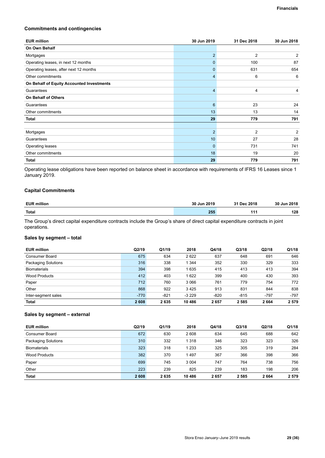#### **Commitments and contingencies**

| <b>EUR million</b>                        | 30 Jun 2019     | 31 Dec 2018    | 30 Jun 2018    |
|-------------------------------------------|-----------------|----------------|----------------|
| On Own Behalf                             |                 |                |                |
| Mortgages                                 | $\overline{2}$  | 2              | 2              |
| Operating leases, in next 12 months       | $\Omega$        | 100            | 87             |
| Operating leases, after next 12 months    | $\Omega$        | 631            | 654            |
| Other commitments                         | 4               | 6              | 6              |
| On Behalf of Equity Accounted Investments |                 |                |                |
| Guarantees                                | $\overline{4}$  | 4              | 4              |
| <b>On Behalf of Others</b>                |                 |                |                |
| Guarantees                                | 6               | 23             | 24             |
| Other commitments                         | 13              | 13             | 14             |
| Total                                     | 29              | 779            | 791            |
|                                           |                 |                |                |
| Mortgages                                 | $\overline{2}$  | $\overline{2}$ | $\overline{2}$ |
| Guarantees                                | 10 <sup>°</sup> | 27             | 28             |
| Operating leases                          | $\mathbf{0}$    | 731            | 741            |
| Other commitments                         | 18              | 19             | 20             |
| <b>Total</b>                              | 29              | 779            | 791            |

Operating lease obligations have been reported on balance sheet in accordance with requirements of IFRS 16 Leases since 1 January 2019.

### **Capital Commitments**

| <b>EUR million</b> | 30 Jun 2019 | 31 Dec 2018 | 30 Jun 2018 |
|--------------------|-------------|-------------|-------------|
| Total              | 255         | AA          | 128         |

The Group's direct capital expenditure contracts include the Group's share of direct capital expenditure contracts in joint operations.

### **Sales by segment – total**

| <b>EUR million</b>         | Q2/19  | Q1/19  | 2018    | Q4/18  | Q3/18  | Q2/18  | Q1/18   |
|----------------------------|--------|--------|---------|--------|--------|--------|---------|
| Consumer Board             | 675    | 634    | 2622    | 637    | 648    | 691    | 646     |
| <b>Packaging Solutions</b> | 316    | 338    | 1 344   | 352    | 330    | 329    | 333     |
| <b>Biomaterials</b>        | 394    | 398    | 1635    | 415    | 413    | 413    | 394     |
| <b>Wood Products</b>       | 412    | 403    | 1622    | 399    | 400    | 430    | 393     |
| Paper                      | 712    | 760    | 3 0 6 6 | 761    | 779    | 754    | 772     |
| Other                      | 868    | 922    | 3425    | 913    | 831    | 844    | 838     |
| Inter-segment sales        | $-770$ | $-821$ | $-3229$ | $-820$ | $-815$ | $-797$ | $-797$  |
| Total                      | 2608   | 2635   | 10 4 86 | 2657   | 2585   | 2664   | 2 5 7 9 |

### **Sales by segment – external**

| <b>EUR million</b>         | Q2/19 | Q1/19 | 2018    | Q4/18 | Q3/18 | Q2/18 | Q1/18   |
|----------------------------|-------|-------|---------|-------|-------|-------|---------|
| Consumer Board             | 672   | 630   | 2608    | 634   | 645   | 688   | 642     |
| <b>Packaging Solutions</b> | 310   | 332   | 1 3 1 8 | 346   | 323   | 323   | 326     |
| <b>Biomaterials</b>        | 323   | 318   | 1 2 3 3 | 325   | 305   | 319   | 284     |
| Wood Products              | 382   | 370   | 1497    | 367   | 366   | 398   | 366     |
| Paper                      | 699   | 745   | 3 0 0 4 | 747   | 764   | 738   | 756     |
| Other                      | 223   | 239   | 825     | 239   | 183   | 198   | 206     |
| <b>Total</b>               | 2608  | 2635  | 10 486  | 2657  | 2585  | 2664  | 2 5 7 9 |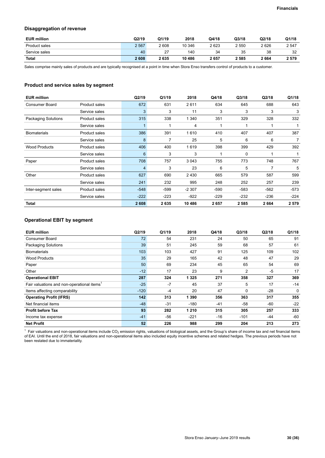### **Disaggregation of revenue**

| <b>EUR million</b> | Q2/19   | Q1/19 | 2018   | Q4/18 | Q3/18   | Q2/18 | Q1/18   |
|--------------------|---------|-------|--------|-------|---------|-------|---------|
| Product sales      | 2 5 6 7 | 2608  | 10 346 | 2623  | 2 5 5 0 | 2626  | 2 5 4 7 |
| Service sales      | 40      | -27   | 140    | 34    | 35      | 38    | 32      |
| <b>Total</b>       | 2608    | 2635  | 10 486 | 2657  | 2 585   | 2664  | 2 5 7 9 |

Sales comprise mainly sales of products and are typically recognised at a point in time when Stora Enso transfers control of products to a customer.

### **Product and service sales by segment**

| <b>EUR million</b>         |                      | Q2/19  | Q1/19  | 2018    | Q4/18  | Q3/18       | Q2/18  | Q1/18   |
|----------------------------|----------------------|--------|--------|---------|--------|-------------|--------|---------|
| Consumer Board             | <b>Product sales</b> | 672    | 631    | 2611    | 634    | 645         | 688    | 643     |
|                            | Service sales        | 3      | 3      | 11      | 3      | 3           | 3      | 3       |
| <b>Packaging Solutions</b> | <b>Product sales</b> | 315    | 338    | 1 3 4 0 | 351    | 329         | 328    | 332     |
|                            | Service sales        | 1      |        | 4       |        | 1           |        |         |
| <b>Biomaterials</b>        | Product sales        | 386    | 391    | 1610    | 410    | 407         | 407    | 387     |
|                            | Service sales        | 8      | 7      | 25      | 5      | 6           | 6      | 7       |
| <b>Wood Products</b>       | Product sales        | 406    | 400    | 1619    | 398    | 399         | 429    | 392     |
|                            | Service sales        | 6      | 3      | 3       |        | $\mathbf 0$ |        | 1       |
| Paper                      | <b>Product sales</b> | 708    | 757    | 3 0 4 3 | 755    | 773         | 748    | 767     |
|                            | Service sales        | 4      | 3      | 23      | 6      | 5           | 7      | 5       |
| Other                      | <b>Product sales</b> | 627    | 690    | 2 4 3 0 | 665    | 579         | 587    | 599     |
|                            | Service sales        | 241    | 232    | 995     | 248    | 252         | 257    | 239     |
| Inter-segment sales        | Product sales        | $-548$ | $-599$ | $-2307$ | $-590$ | $-583$      | $-562$ | $-573$  |
|                            | Service sales        | $-222$ | $-223$ | $-922$  | $-229$ | $-232$      | $-236$ | $-224$  |
| Total                      |                      | 2608   | 2635   | 10 486  | 2657   | 2585        | 2664   | 2 5 7 9 |

### **Operational EBIT by segment**

| <b>EUR million</b>                                     | Q2/19  | Q1/19 | 2018    | Q4/18 | Q3/18  | Q2/18 | Q1/18 |
|--------------------------------------------------------|--------|-------|---------|-------|--------|-------|-------|
| Consumer Board                                         | 72     | 54    | 231     | 24    | 50     | 65    | 91    |
| Packaging Solutions                                    | 39     | 51    | 245     | 59    | 68     | 57    | 61    |
| <b>Biomaterials</b>                                    | 103    | 103   | 427     | 91    | 125    | 109   | 102   |
| <b>Wood Products</b>                                   | 35     | 29    | 165     | 42    | 48     | 47    | 29    |
| Paper                                                  | 50     | 69    | 234     | 45    | 65     | 54    | 69    |
| Other                                                  | $-12$  | 17    | 23      | 9     | 2      | $-5$  | 17    |
| <b>Operational EBIT</b>                                | 287    | 324   | 1 3 2 5 | 271   | 358    | 327   | 369   |
| Fair valuations and non-operational items <sup>1</sup> | $-25$  | $-7$  | 45      | 37    | 5      | 17    | $-14$ |
| Items affecting comparability                          | $-120$ | $-4$  | 20      | 47    | 0      | $-28$ | 0     |
| <b>Operating Profit (IFRS)</b>                         | 142    | 313   | 1 3 9 0 | 356   | 363    | 317   | 355   |
| Net financial items                                    | $-48$  | $-31$ | $-180$  | $-41$ | -58    | -60   | $-22$ |
| <b>Profit before Tax</b>                               | 93     | 282   | 1 2 1 0 | 315   | 305    | 257   | 333   |
| Income tax expense                                     | $-41$  | -56   | $-221$  | $-16$ | $-101$ | $-44$ | $-60$ |
| <b>Net Profit</b>                                      | 52     | 226   | 988     | 299   | 204    | 213   | 273   |

 $^1$  Fair valuations and non-operational items include CO<sub>2</sub> emission rights, valuations of biological assets, and the Group's share of income tax and net financial items of EAI. Until the end of 2018, fair valuations and non-operational items also included equity incentive schemes and related hedges. The previous periods have not been restated due to immateriality.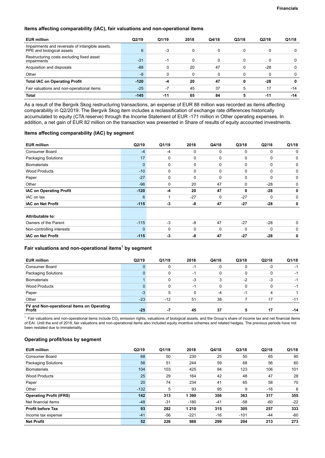### **Items affecting comparability (IAC), fair valuations and non-operational items**

| <b>EUR million</b>                                                           | Q2/19  | Q1/19 | 2018 | Q4/18 | Q3/18 | Q2/18 | Q1/18 |
|------------------------------------------------------------------------------|--------|-------|------|-------|-------|-------|-------|
| Impairments and reversals of intangible assets,<br>PPE and biological assets | 6      | -3    |      |       |       | 0     |       |
| Restructuring costs excluding fixed asset<br>impairments                     | $-31$  | -1    |      |       |       | 0     |       |
| Acquisition and disposals                                                    | $-88-$ |       | 20   | 47    |       | $-28$ | 0     |
| Other                                                                        | -8     |       |      |       |       | 0     | 0     |
| <b>Total IAC on Operating Profit</b>                                         | $-120$ | -4    | 20   | 47    | 0     | $-28$ | 0     |
| Fair valuations and non-operational items                                    | $-25$  | $-7$  | 45   | 37    | 5     | 17    | $-14$ |
| <b>Total</b>                                                                 | $-145$ | $-11$ | 65   | 84    |       | -11   | $-14$ |

As a result of the Bergvik Skog restructuring transactions, an expense of EUR 88 million was recorded as items affecting comparability in Q2/2019. The Bergvik Skog item includes a reclassification of exchange rate differences historically accumulated to equity (CTA reserve) through the Income Statement of EUR -171 million in Other operating expenses. In addition, a net gain of EUR 82 million on the transaction was presented in Share of results of equity accounted investments.

### **Items affecting comparability (IAC) by segment**

| <b>EUR million</b>             | Q2/19        | Q1/19    | 2018        | Q4/18       | Q3/18 | Q2/18    | Q1/18    |
|--------------------------------|--------------|----------|-------------|-------------|-------|----------|----------|
| <b>Consumer Board</b>          | $-4$         | $-4$     | $\mathbf 0$ | $\mathbf 0$ | 0     | 0        | 0        |
| <b>Packaging Solutions</b>     | 17           | 0        | 0           | $\Omega$    | 0     | 0        | 0        |
| <b>Biomaterials</b>            | $\mathbf{0}$ | 0        | 0           | $\mathbf 0$ | 0     | 0        | 0        |
| <b>Wood Products</b>           | $-10$        | 0        | $\mathbf 0$ | $\Omega$    | 0     | 0        | 0        |
| Paper                          | $-27$        | 0        | 0           | $\Omega$    | 0     | 0        | $\Omega$ |
| Other                          | $-96$        | 0        | 20          | 47          | 0     | $-28$    | 0        |
| <b>IAC on Operating Profit</b> | $-120$       | $-4$     | 20          | 47          | 0     | $-28$    | $\bf{0}$ |
| IAC on tax                     | 6            |          | $-27$       | $\Omega$    | $-27$ | 0        | 0        |
| <b>IAC on Net Profit</b>       | $-115$       | $-3$     | -8          | 47          | $-27$ | $-28$    | 0        |
| Attributable to:               |              |          |             |             |       |          |          |
| Owners of the Parent           | $-115$       | $-3$     | -8          | 47          | $-27$ | $-28$    | $\Omega$ |
| Non-controlling interests      | $\mathbf{0}$ | $\Omega$ | 0           | $\Omega$    | 0     | $\Omega$ | 0        |
| <b>IAC on Net Profit</b>       | $-115$       | -3       | -8          | 47          | $-27$ | $-28$    | 0        |

### **Fair valuations and non-operational items<sup>1</sup> by segment**

| <b>EUR million</b>                                  | Q2/19 | Q1/19 | 2018 | Q4/18    | Q3/18 | Q2/18 | Q1/18 |
|-----------------------------------------------------|-------|-------|------|----------|-------|-------|-------|
| <b>Consumer Board</b>                               |       |       | -1   | 0        | U     |       | -1    |
| Packaging Solutions                                 | 0     |       | $-1$ | 0        |       |       | -1    |
| <b>Biomaterials</b>                                 |       |       | -3   | 3        | $-2$  | -3    | -1    |
| <b>Wood Products</b>                                | 0     |       | -1   | $\Omega$ | 0     |       | -1    |
| Paper                                               | $-3$  | 5     | O    | $-4$     | -1    |       |       |
| Other                                               | $-23$ | $-12$ | 51   | 38       |       | 17    | $-11$ |
| FV and Non-operational Items on Operating<br>Profit | $-25$ | -7    | 45   | 37       | 5     | 17    | $-14$ |

 $^1$  Fair valuations and non-operational items include CO<sub>2</sub> emission rights, valuations of biological assets, and the Group's share of income tax and net financial items of EAI. Until the end of 2018, fair valuations and non-operational items also included equity incentive schemes and related hedges. The previous periods have not been restated due to immateriality.

### **Operating profit/loss by segment**

| <b>EUR million</b>             | Q2/19  | Q1/19 | 2018    | Q4/18 | Q3/18  | Q2/18 | Q1/18 |
|--------------------------------|--------|-------|---------|-------|--------|-------|-------|
| Consumer Board                 | 68     | 50    | 230     | 25    | 50     | 65    | 90    |
| <b>Packaging Solutions</b>     | 56     | 51    | 244     | 59    | 68     | 56    | 60    |
| <b>Biomaterials</b>            | 104    | 103   | 425     | 94    | 123    | 106   | 101   |
| <b>Wood Products</b>           | 25     | 29    | 164     | 42    | 48     | 47    | 28    |
| Paper                          | 20     | 74    | 234     | 41    | 65     | 58    | 70    |
| Other                          | $-132$ | 5     | 93      | 95    | 9      | -16   | 6     |
| <b>Operating Profit (IFRS)</b> | 142    | 313   | 1 3 9 0 | 356   | 363    | 317   | 355   |
| Net financial items            | $-48$  | $-31$ | $-180$  | $-41$ | $-58$  | $-60$ | $-22$ |
| <b>Profit before Tax</b>       | 93     | 282   | 1 2 1 0 | 315   | 305    | 257   | 333   |
| Income tax expense             | $-41$  | -56   | $-221$  | -16   | $-101$ | $-44$ | $-60$ |
| <b>Net Profit</b>              | 52     | 226   | 988     | 299   | 204    | 213   | 273   |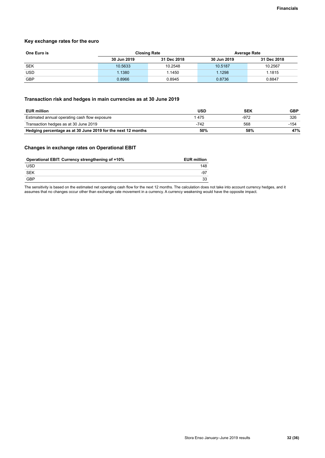### **Key exchange rates for the euro**

| One Euro is | <b>Closing Rate</b> |             | <b>Average Rate</b> |             |
|-------------|---------------------|-------------|---------------------|-------------|
|             | 30 Jun 2019         | 31 Dec 2018 | 30 Jun 2019         | 31 Dec 2018 |
| <b>SEK</b>  | 10.5633             | 10.2548     | 10.5187             | 10.2567     |
| <b>USD</b>  | 1.1380              | 1.1450      | 1.1298              | 1.1815      |
| <b>GBP</b>  | 0.8966              | 0.8945      | 0.8736              | 0.8847      |

### **Transaction risk and hedges in main currencies as at 30 June 2019**

| <b>EUR million</b>                                           | USD  | <b>SEK</b> | <b>GBP</b> |
|--------------------------------------------------------------|------|------------|------------|
| Estimated annual operating cash flow exposure                | 475  | -972       | 326        |
| Transaction hedges as at 30 June 2019                        | -742 | 568        | -154       |
| Hedging percentage as at 30 June 2019 for the next 12 months | 50%  | 58%        | 47%        |

### **Changes in exchange rates on Operational EBIT**

| Operational EBIT: Currency strengthening of +10% | <b>EUR million</b> |
|--------------------------------------------------|--------------------|
| <b>USD</b>                                       | 148                |
| SEK                                              | -97                |
| <b>GBP</b>                                       | 33                 |

The sensitivity is based on the estimated net operating cash flow for the next 12 months. The calculation does not take into account currency hedges, and it assumes that no changes occur other than exchange rate movement in a currency. A currency weakening would have the opposite impact.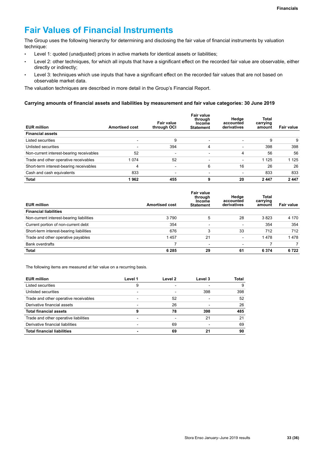# **Fair Values of Financial Instruments**

The Group uses the following hierarchy for determining and disclosing the fair value of financial instruments by valuation technique:

- Level 1: quoted (unadjusted) prices in active markets for identical assets or liabilities;
- Level 2: other techniques, for which all inputs that have a significant effect on the recorded fair value are observable, either directly or indirectly;
- Level 3: techniques which use inputs that have a significant effect on the recorded fair values that are not based on observable market data.

The valuation techniques are described in more detail in the Group's Financial Report.

### **Carrying amounts of financial assets and liabilities by measurement and fair value categories: 30 June 2019**

| <b>EUR million</b>                       | <b>Amortised cost</b>    | Fair value<br>through OCI | Fair value<br>through<br><b>Income</b><br><b>Statement</b> | Hedge<br>accounted<br>derivatives | <b>Total</b><br>carrying<br>amount | Fair value |
|------------------------------------------|--------------------------|---------------------------|------------------------------------------------------------|-----------------------------------|------------------------------------|------------|
| <b>Financial assets</b>                  |                          |                           |                                                            |                                   |                                    |            |
| Listed securities                        | $\overline{\phantom{0}}$ | 9                         | $\overline{\phantom{a}}$                                   | $\overline{\phantom{0}}$          | 9                                  | 9          |
| Unlisted securities                      | $\overline{\phantom{0}}$ | 394                       | 4                                                          | $\overline{\phantom{a}}$          | 398                                | 398        |
| Non-current interest-bearing receivables | 52                       | $\overline{\phantom{0}}$  | $\overline{\phantom{0}}$                                   | 4                                 | 56                                 | 56         |
| Trade and other operative receivables    | 1 0 7 4                  | 52                        | $\overline{\phantom{0}}$                                   | $\overline{\phantom{0}}$          | 1 1 2 5                            | 1 1 2 5    |
| Short-term interest-bearing receivables  | 4                        |                           | 6                                                          | 16                                | 26                                 | 26         |
| Cash and cash equivalents                | 833                      |                           |                                                            | $\overline{\phantom{a}}$          | 833                                | 833        |
| Total                                    | 1962                     | 455                       | 9                                                          | 20                                | 2447                               | 2 4 4 7    |

| <b>EUR million</b>                       | <b>Amortised cost</b> | <b>Fair value</b><br>through<br><b>Income</b><br><b>Statement</b> | Hedge<br>accounted<br>derivatives | Total<br>carrying<br>amount | <b>Fair value</b> |
|------------------------------------------|-----------------------|-------------------------------------------------------------------|-----------------------------------|-----------------------------|-------------------|
| <b>Financial liabilities</b>             |                       |                                                                   |                                   |                             |                   |
| Non-current interest-bearing liabilities | 3790                  | 5                                                                 | 28                                | 3823                        | 4 1 7 0           |
| Current portion of non-current debt      | 354                   | $\overline{\phantom{0}}$                                          |                                   | 354                         | 354               |
| Short-term interest-bearing liabilities  | 676                   | 3                                                                 | 33                                | 712                         | 712               |
| Trade and other operative payables       | 1457                  | 21                                                                | $\overline{\phantom{a}}$          | 1478                        | 1478              |
| <b>Bank overdrafts</b>                   |                       | $\overline{\phantom{a}}$                                          | $\overline{\phantom{0}}$          |                             |                   |
| Total                                    | 6 2 8 5               | 29                                                                | 61                                | 6 3 7 4                     | 6722              |

The following items are measured at fair value on a recurring basis.

| <b>EUR million</b>                    | Level 1 | Level 2 | Level 3 | Total |
|---------------------------------------|---------|---------|---------|-------|
| Listed securities                     | 9       |         |         | 9     |
| Unlisted securities                   |         |         | 398     | 398   |
| Trade and other operative receivables |         | 52      |         | 52    |
| Derivative financial assets           |         | 26      |         | 26    |
| <b>Total financial assets</b>         | 9       | 78      | 398     | 485   |
| Trade and other operative liabilities |         |         | 21      | 21    |
| Derivative financial liabilities      |         | 69      |         | 69    |
| <b>Total financial liabilities</b>    |         | 69      | 21      | 90    |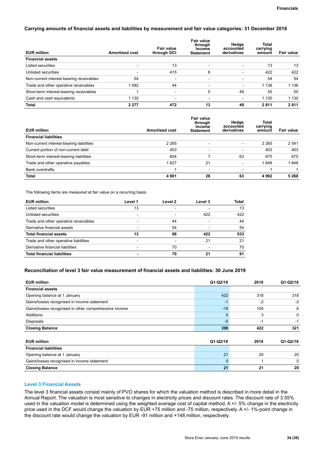### **Carrying amounts of financial assets and liabilities by measurement and fair value categories: 31 December 2018**

| <b>EUR million</b>                       | <b>Amortised cost</b>    | Fair value<br>through OCI | <b>Fair value</b><br>through<br><b>Income</b><br><b>Statement</b> | Hedge<br>accounted<br>derivatives | Total<br>carrying<br>amount | <b>Fair value</b> |
|------------------------------------------|--------------------------|---------------------------|-------------------------------------------------------------------|-----------------------------------|-----------------------------|-------------------|
| <b>Financial assets</b>                  |                          |                           |                                                                   |                                   |                             |                   |
| Listed securities                        |                          | 13                        |                                                                   | $\overline{\phantom{a}}$          | 13                          | 13                |
| Unlisted securities                      | $\overline{\phantom{0}}$ | 415                       | 8                                                                 | $\overline{\phantom{a}}$          | 422                         | 422               |
| Non-current interest-bearing receivables | 54                       | $\overline{\phantom{0}}$  |                                                                   | $\overline{\phantom{0}}$          | 54                          | 54                |
| Trade and other operative receivables    | 1 0 9 2                  | 44                        |                                                                   | $\overline{\phantom{0}}$          | 1 1 3 6                     | 1 1 3 6           |
| Short-term interest-bearing receivables  |                          |                           | 5                                                                 | 49                                | 55                          | 55                |
| Cash and cash equivalents                | 1 1 3 0                  | $\overline{\phantom{0}}$  | $\overline{\phantom{0}}$                                          | $\overline{\phantom{a}}$          | 1 1 3 0                     | 1 1 3 0           |
| <b>Total</b>                             | 2 2 7 7                  | 472                       | 13                                                                | 49                                | 2811                        | 2811              |

| <b>EUR million</b>                       | <b>Amortised cost</b> | <b>Fair value</b><br>through<br><b>Income</b><br><b>Statement</b> | Hedge<br>accounted<br>derivatives | Total<br>carrying<br>amount | <b>Fair value</b> |
|------------------------------------------|-----------------------|-------------------------------------------------------------------|-----------------------------------|-----------------------------|-------------------|
| <b>Financial liabilities</b>             |                       |                                                                   |                                   |                             |                   |
| Non-current interest-bearing liabilities | 2 2 6 5               | $\overline{\phantom{0}}$                                          | $\overline{\phantom{0}}$          | 2 2 6 5                     | 2 5 4 1           |
| Current portion of non-current debt      | 403                   |                                                                   | $\overline{\phantom{0}}$          | 403                         | 403               |
| Short-term interest-bearing liabilities  | 604                   |                                                                   | 63                                | 675                         | 675               |
| Trade and other operative payables       | 1627                  | 21                                                                | $\overline{\phantom{0}}$          | 1648                        | 1648              |
| Bank overdrafts                          |                       | $\overline{\phantom{a}}$                                          | $\overline{\phantom{0}}$          |                             |                   |
| <b>Total</b>                             | 4 9 0 1               | 28                                                                | 63                                | 4992                        | 5 2 6 8           |

The following items are measured at fair value on a recurring basis.

| <b>EUR million</b>                    | Level 1 | Level 2 | Level 3 | Total |
|---------------------------------------|---------|---------|---------|-------|
| Listed securities                     | 13      |         |         | 13    |
| Unlisted securities                   |         |         | 422     | 422   |
| Trade and other operative receivables |         | 44      |         | 44    |
| Derivative financial assets           |         | 54      |         | 54    |
| <b>Total financial assets</b>         | 13      | 98      | 422     | 533   |
| Trade and other operative liabilities |         |         | 21      | 21    |
| Derivative financial liabilities      |         | 70      |         | 70    |
| <b>Total financial liabilities</b>    |         | 70      | 21      | 91    |

### **Reconciliation of level 3 fair value measurement of financial assets and liabilities: 30 June 2019**

| <b>EUR million</b>                                    | $Q1-Q2/19$   | 2018 | $Q1-Q2/18$  |
|-------------------------------------------------------|--------------|------|-------------|
| <b>Financial assets</b>                               |              |      |             |
| Opening balance at 1 January                          | 422          | 318  | 318         |
| Gains/losses recognised in income statement           | $-1$         | $-2$ | $-2$        |
| Gains/losses recognised in other comprehensive income | $-19$        | 104  | 6           |
| Additions                                             | $\mathbf{0}$ | 3    | 0           |
| Disposals                                             | $-5$         | -1   | -1          |
| <b>Closing Balance</b>                                | 398          | 422  | 321         |
|                                                       |              |      |             |
| <b>EUR million</b>                                    | $Q1-Q2/19$   | 2018 | Q1-Q2/18    |
| <b>Financial liabilities</b>                          |              |      |             |
| Opening balance at 1 January                          | 21           | 20   | 20          |
| Gains/losses recognised in income statement           | $\Omega$     |      | $\mathbf 0$ |
| <b>Closing Balance</b>                                | 21           | 21   | 20          |

### **Level 3 Financial Assets**

The level 3 financial assets consist mainly of PVO shares for which the valuation method is described in more detail in the Annual Report. The valuation is most sensitive to changes in electricity prices and discount rates. The discount rate of 3.55% used in the valuation model is determined using the weighted average cost of capital method. A +/- 5% change in the electricity price used in the DCF would change the valuation by EUR +75 million and -75 million, respectively. A +/- 1%-point change in the discount rate would change the valuation by EUR -91 million and +148 million, respectively.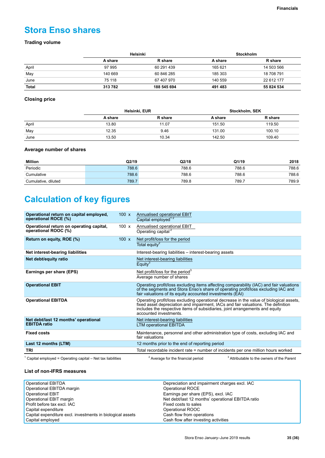# **Stora Enso shares**

### **Trading volume**

|              | Helsinki |                | <b>Stockholm</b> |                |  |
|--------------|----------|----------------|------------------|----------------|--|
|              | A share  | <b>R</b> share | A share          | <b>R</b> share |  |
| April        | 97 995   | 60 291 439     | 165 621          | 14 503 566     |  |
| May          | 140 669  | 60 846 285     | 185 303          | 18 708 791     |  |
| June         | 75 118   | 67 407 970     | 140 559          | 22 612 177     |  |
| <b>Total</b> | 313782   | 188 545 694    | 491 483          | 55 824 534     |  |

### **Closing price**

|       | Helsinki, EUR |                | Stockholm, SEK |                |
|-------|---------------|----------------|----------------|----------------|
|       | A share       | <b>R</b> share | A share        | <b>R</b> share |
| April | 13.80         | 11.07          | 151.50         | 119.50         |
| May   | 12.35         | 9.46           | 131.00         | 100.10         |
| June  | 13.50         | 10.34          | 142.50         | 109.40         |

### **Average number of shares**

| Million             | Q2/19 | Q2/18 | Q1/19 | 2018  |
|---------------------|-------|-------|-------|-------|
| Periodic            | 788.6 | 788.6 | 788.6 | 788.6 |
| Cumulative          | 788.6 | 788.6 | 788.6 | 788.6 |
| Cumulative, diluted | 789.7 | 789.8 | 789.7 | 789.9 |

# **Calculation of key figures**

| Operational return on capital employed,<br>operational ROCE (%)                                      | 100x         | Annualised operational EBIT<br>Capital employed <sup>12</sup>                                                                                                                                                                                                                          |
|------------------------------------------------------------------------------------------------------|--------------|----------------------------------------------------------------------------------------------------------------------------------------------------------------------------------------------------------------------------------------------------------------------------------------|
| Operational return on operating capital,<br>operational ROOC (%)                                     | 100 $\times$ | Annualised operational EBIT<br>Operating capital <sup>2</sup>                                                                                                                                                                                                                          |
| Return on equity, ROE (%)                                                                            | 100x         | Net profit/loss for the period<br>Total equity <sup>2</sup>                                                                                                                                                                                                                            |
| Net interest-bearing liabilities                                                                     |              | Interest-bearing liabilities – interest-bearing assets                                                                                                                                                                                                                                 |
| Net debt/equity ratio                                                                                |              | Net interest-bearing liabilities<br>Equity $3$                                                                                                                                                                                                                                         |
| Earnings per share (EPS)                                                                             |              | Net profit/loss for the period <sup>3</sup><br>Average number of shares                                                                                                                                                                                                                |
| <b>Operational EBIT</b>                                                                              |              | Operating profit/loss excluding items affecting comparability (IAC) and fair valuations<br>of the segments and Stora Enso's share of operating profit/loss excluding IAC and<br>fair valuations of its equity accounted investments (EAI)                                              |
| <b>Operational EBITDA</b>                                                                            |              | Operating profit/loss excluding operational decrease in the value of biological assets,<br>fixed asset depreciation and impairment, IACs and fair valuations. The definition<br>includes the respective items of subsidiaries, joint arrangements and equity<br>accounted investments. |
| Net debt/last 12 months' operational<br><b>EBITDA</b> ratio                                          |              | Net interest-bearing liabilities<br><b>LTM operational EBITDA</b>                                                                                                                                                                                                                      |
| <b>Fixed costs</b>                                                                                   |              | Maintenance, personnel and other administration type of costs, excluding IAC and<br>fair valuations                                                                                                                                                                                    |
| Last 12 months (LTM)                                                                                 |              | 12 months prior to the end of reporting period                                                                                                                                                                                                                                         |
| TRI                                                                                                  |              | Total recordable incident rate = number of incidents per one million hours worked                                                                                                                                                                                                      |
| $1 \wedge$ and the line and according the contraction of the contract of the contraction of $\wedge$ |              | $3$ Attailant and the term of the $B$ and $A$<br>2. Assume that the fundamental conditions of $\sim$                                                                                                                                                                                   |

<sup>1</sup> Capital employed = Operating capital – Net tax liabilities  $2^2$ 

 $2$  Average for the financial period

Attributable to the owners of the Parent

### **List of non-IFRS measures**

| Operational EBITDA                                         | Depreciation and impairment charges excl. IAC     |
|------------------------------------------------------------|---------------------------------------------------|
| Operational EBITDA margin                                  | Operational ROCE                                  |
| <b>Operational EBIT</b>                                    | Earnings per share (EPS), excl. IAC               |
| Operational EBIT margin                                    | Net debt/last 12 months' operational EBITDA ratio |
| Profit before tax excl. IAC                                | Fixed costs to sales                              |
| Capital expenditure                                        | Operational ROOC                                  |
| Capital expenditure excl. investments in biological assets | Cash flow from operations                         |
| Capital employed                                           | Cash flow after investing activities              |